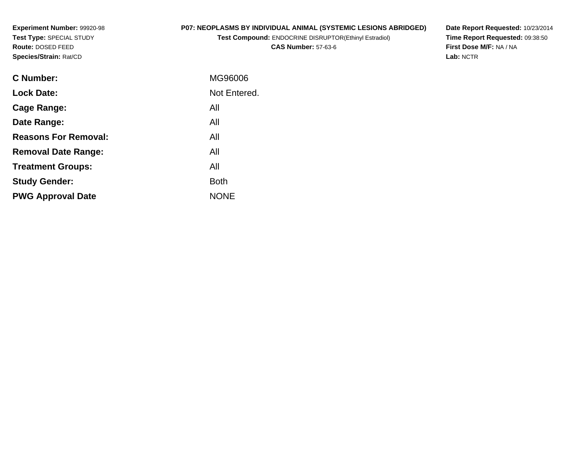**Experiment Number:** 99920-98**Test Type:** SPECIAL STUDY**Route:** DOSED FEED**Species/Strain:** Rat/CD

# **P07: NEOPLASMS BY INDIVIDUAL ANIMAL (SYSTEMIC LESIONS ABRIDGED)**

**Test Compound:** ENDOCRINE DISRUPTOR(Ethinyl Estradiol)

**CAS Number:** 57-63-6

**Date Report Requested:** 10/23/2014 **Time Report Requested:** 09:38:50**First Dose M/F:** NA / NA**Lab:** NCTR

| <b>C</b> Number:            | MG96006      |
|-----------------------------|--------------|
| <b>Lock Date:</b>           | Not Entered. |
| Cage Range:                 | All          |
| Date Range:                 | All          |
| <b>Reasons For Removal:</b> | All          |
| <b>Removal Date Range:</b>  | All          |
| <b>Treatment Groups:</b>    | All          |
| <b>Study Gender:</b>        | <b>Both</b>  |
| <b>PWG Approval Date</b>    | <b>NONE</b>  |
|                             |              |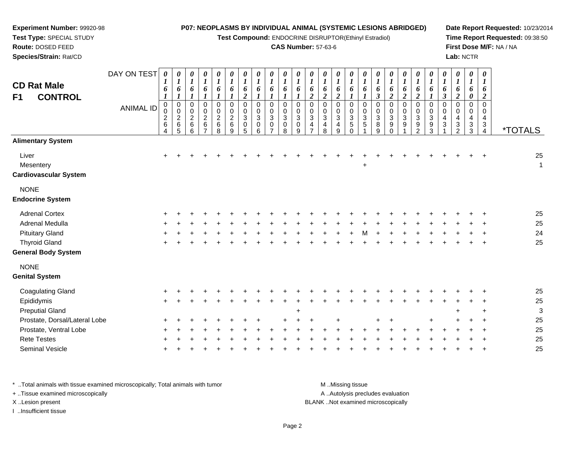**Test Compound:** ENDOCRINE DISRUPTOR(Ethinyl Estradiol)

#### **CAS Number:** 57-63-6

**Date Report Requested:** 10/23/2014**Time Report Requested:** 09:38:50**First Dose M/F:** NA / NA**Lab:** NCTR

| DAY ON TEST<br><b>ANIMAL ID</b> | 0<br>6<br>$\boldsymbol{l}$<br>$\mathbf 0$<br>0<br>$\frac{2}{6}$<br>$\overline{4}$ | 0<br>$\boldsymbol{l}$<br>6<br>$\pmb{0}$<br>$\pmb{0}$<br>$\frac{2}{6}$<br>5 | 0<br>$\boldsymbol{l}$<br>6<br>$\mathsf 0$<br>$\pmb{0}$<br>$\overline{c}$<br>$\,6$<br>6 | 0<br>$\boldsymbol{l}$<br>6<br>$\pmb{0}$<br>$\pmb{0}$<br>$\frac{2}{6}$<br>7 | 0<br>$\boldsymbol{l}$<br>6<br>0<br>$\pmb{0}$<br>$\frac{2}{6}$<br>8 | $\boldsymbol{\theta}$<br>$\boldsymbol{l}$<br>6<br>$\boldsymbol{l}$<br>$\boldsymbol{0}$<br>$\pmb{0}$<br>$\overline{c}$<br>$6\phantom{a}$<br>9 | $\boldsymbol{\theta}$<br>$\boldsymbol{l}$<br>6<br>$\boldsymbol{2}$<br>$\pmb{0}$<br>$\pmb{0}$<br>$\sqrt{3}$<br>0<br>5 | 0<br>$\boldsymbol{l}$<br>6<br>$\mathbf 0$<br>$\mathbf 0$<br>$\mathbf{3}$<br>0<br>6 | 0<br>$\boldsymbol{l}$<br>6<br>$\mathbf 0$<br>0<br>$\ensuremath{\mathsf{3}}$<br>0 | 0<br>$\Omega$<br>$\Omega$<br>$\mathbf{3}$<br>0<br>8 | 0<br>6<br>$\mathbf 0$<br>0<br>$\mathbf{3}$<br>0<br>9 | 0<br>6<br>$\boldsymbol{2}$<br>$\mathbf 0$<br>0<br>$\mathbf{3}$<br>4 | 0<br>6<br>$\boldsymbol{2}$<br>0<br>0<br>$\sqrt{3}$<br>4<br>8 | 0<br>1<br>6<br>$\boldsymbol{2}$<br>0<br>0<br>$\sqrt{3}$<br>$\overline{4}$<br>9 | 0<br>6<br>$\mathbf 0$<br>0<br>$\sqrt{3}$<br>$\overline{5}$<br>$\Omega$ | 0<br>$\boldsymbol{l}$<br>6<br>$\mathbf 0$<br>0<br>$\sqrt{3}$<br>$\overline{5}$ | 0<br>$\boldsymbol{l}$<br>6<br>$\boldsymbol{\beta}$<br>$\mathbf 0$<br>0<br>$\mathbf{3}$<br>8<br>9 | 0<br>$\boldsymbol{l}$<br>6<br>$\boldsymbol{2}$<br>0<br>0<br>$\mathbf{3}$<br>9<br>$\Omega$ | $\boldsymbol{\theta}$<br>6<br>$\boldsymbol{2}$<br>$\mathbf 0$<br>$\mathbf 0$<br>$\sqrt{3}$<br>9 | 0<br>6<br>$\boldsymbol{2}$<br>$\mathsf 0$<br>$\pmb{0}$<br>$\mathbf{3}$<br>$\boldsymbol{9}$<br>$\mathfrak{D}$ | 0<br>6<br>$\mathbf 0$<br>0<br>3<br>9<br>3 | 0<br>$\boldsymbol{l}$<br>6<br>$\boldsymbol{\beta}$<br>0<br>0<br>4<br>3 | 0<br>$\boldsymbol{l}$<br>6<br>$\boldsymbol{2}$<br>$\mathbf 0$<br>0<br>$\overline{\mathbf{4}}$<br>$\sqrt{3}$<br>$\mathcal{P}$ | 0<br>$\boldsymbol{l}$<br>6<br>$\boldsymbol{\theta}$<br>$\mathbf 0$<br>0<br>$\overline{\mathbf{4}}$<br>$\sqrt{3}$<br>3 | $\boldsymbol{\theta}$<br>$\boldsymbol{l}$<br>6<br>$\overline{2}$<br>$\mathbf 0$<br>0<br>4<br>3<br>4 | <i><b>*TOTALS</b></i> |
|---------------------------------|-----------------------------------------------------------------------------------|----------------------------------------------------------------------------|----------------------------------------------------------------------------------------|----------------------------------------------------------------------------|--------------------------------------------------------------------|----------------------------------------------------------------------------------------------------------------------------------------------|----------------------------------------------------------------------------------------------------------------------|------------------------------------------------------------------------------------|----------------------------------------------------------------------------------|-----------------------------------------------------|------------------------------------------------------|---------------------------------------------------------------------|--------------------------------------------------------------|--------------------------------------------------------------------------------|------------------------------------------------------------------------|--------------------------------------------------------------------------------|--------------------------------------------------------------------------------------------------|-------------------------------------------------------------------------------------------|-------------------------------------------------------------------------------------------------|--------------------------------------------------------------------------------------------------------------|-------------------------------------------|------------------------------------------------------------------------|------------------------------------------------------------------------------------------------------------------------------|-----------------------------------------------------------------------------------------------------------------------|-----------------------------------------------------------------------------------------------------|-----------------------|
|                                 |                                                                                   |                                                                            |                                                                                        |                                                                            |                                                                    |                                                                                                                                              |                                                                                                                      |                                                                                    |                                                                                  |                                                     |                                                      |                                                                     |                                                              |                                                                                |                                                                        |                                                                                |                                                                                                  |                                                                                           |                                                                                                 |                                                                                                              |                                           |                                                                        |                                                                                                                              |                                                                                                                       |                                                                                                     |                       |
|                                 | $\ddot{}$                                                                         |                                                                            |                                                                                        |                                                                            |                                                                    |                                                                                                                                              |                                                                                                                      |                                                                                    |                                                                                  |                                                     |                                                      |                                                                     |                                                              |                                                                                |                                                                        | $\ddot{}$                                                                      |                                                                                                  |                                                                                           |                                                                                                 |                                                                                                              |                                           |                                                                        |                                                                                                                              |                                                                                                                       |                                                                                                     | 25<br>1               |
|                                 |                                                                                   |                                                                            |                                                                                        |                                                                            |                                                                    |                                                                                                                                              |                                                                                                                      |                                                                                    |                                                                                  |                                                     |                                                      |                                                                     |                                                              |                                                                                |                                                                        |                                                                                |                                                                                                  |                                                                                           |                                                                                                 |                                                                                                              |                                           |                                                                        |                                                                                                                              |                                                                                                                       |                                                                                                     |                       |
|                                 |                                                                                   |                                                                            |                                                                                        |                                                                            |                                                                    |                                                                                                                                              |                                                                                                                      |                                                                                    |                                                                                  |                                                     |                                                      |                                                                     |                                                              |                                                                                |                                                                        |                                                                                |                                                                                                  |                                                                                           |                                                                                                 |                                                                                                              |                                           |                                                                        |                                                                                                                              |                                                                                                                       |                                                                                                     | 25                    |
|                                 |                                                                                   |                                                                            |                                                                                        |                                                                            |                                                                    |                                                                                                                                              |                                                                                                                      |                                                                                    |                                                                                  |                                                     |                                                      |                                                                     |                                                              |                                                                                |                                                                        |                                                                                |                                                                                                  |                                                                                           |                                                                                                 |                                                                                                              |                                           |                                                                        |                                                                                                                              |                                                                                                                       |                                                                                                     | 25                    |
|                                 |                                                                                   |                                                                            |                                                                                        |                                                                            |                                                                    |                                                                                                                                              |                                                                                                                      |                                                                                    |                                                                                  |                                                     |                                                      |                                                                     |                                                              |                                                                                |                                                                        |                                                                                |                                                                                                  |                                                                                           |                                                                                                 |                                                                                                              |                                           |                                                                        |                                                                                                                              |                                                                                                                       |                                                                                                     | 24                    |
|                                 | ÷                                                                                 |                                                                            |                                                                                        |                                                                            |                                                                    |                                                                                                                                              |                                                                                                                      |                                                                                    |                                                                                  |                                                     |                                                      |                                                                     |                                                              |                                                                                |                                                                        |                                                                                |                                                                                                  |                                                                                           |                                                                                                 |                                                                                                              |                                           |                                                                        |                                                                                                                              |                                                                                                                       |                                                                                                     | 25                    |
|                                 |                                                                                   |                                                                            |                                                                                        |                                                                            |                                                                    |                                                                                                                                              |                                                                                                                      |                                                                                    |                                                                                  |                                                     |                                                      |                                                                     |                                                              |                                                                                |                                                                        |                                                                                |                                                                                                  |                                                                                           |                                                                                                 |                                                                                                              |                                           |                                                                        |                                                                                                                              |                                                                                                                       |                                                                                                     |                       |
|                                 |                                                                                   |                                                                            |                                                                                        |                                                                            |                                                                    |                                                                                                                                              |                                                                                                                      |                                                                                    |                                                                                  |                                                     |                                                      |                                                                     |                                                              |                                                                                |                                                                        |                                                                                |                                                                                                  |                                                                                           |                                                                                                 |                                                                                                              |                                           |                                                                        |                                                                                                                              |                                                                                                                       |                                                                                                     |                       |
|                                 |                                                                                   |                                                                            |                                                                                        |                                                                            |                                                                    |                                                                                                                                              |                                                                                                                      |                                                                                    |                                                                                  |                                                     |                                                      |                                                                     |                                                              |                                                                                |                                                                        |                                                                                |                                                                                                  |                                                                                           |                                                                                                 |                                                                                                              |                                           |                                                                        |                                                                                                                              |                                                                                                                       |                                                                                                     | 25                    |
|                                 | +                                                                                 |                                                                            |                                                                                        |                                                                            |                                                                    |                                                                                                                                              |                                                                                                                      |                                                                                    |                                                                                  |                                                     |                                                      |                                                                     |                                                              |                                                                                |                                                                        |                                                                                |                                                                                                  |                                                                                           |                                                                                                 |                                                                                                              |                                           |                                                                        |                                                                                                                              |                                                                                                                       |                                                                                                     | 25                    |
|                                 |                                                                                   |                                                                            |                                                                                        |                                                                            |                                                                    |                                                                                                                                              |                                                                                                                      |                                                                                    |                                                                                  |                                                     | $\ddot{}$                                            |                                                                     |                                                              |                                                                                |                                                                        |                                                                                |                                                                                                  |                                                                                           |                                                                                                 |                                                                                                              |                                           |                                                                        |                                                                                                                              |                                                                                                                       | ÷                                                                                                   | 3                     |
| Prostate, Dorsal/Lateral Lobe   |                                                                                   |                                                                            |                                                                                        |                                                                            |                                                                    |                                                                                                                                              |                                                                                                                      |                                                                                    |                                                                                  |                                                     |                                                      |                                                                     |                                                              |                                                                                |                                                                        |                                                                                |                                                                                                  |                                                                                           |                                                                                                 |                                                                                                              |                                           |                                                                        |                                                                                                                              |                                                                                                                       |                                                                                                     | 25                    |
|                                 |                                                                                   |                                                                            |                                                                                        |                                                                            |                                                                    |                                                                                                                                              |                                                                                                                      |                                                                                    |                                                                                  |                                                     |                                                      |                                                                     |                                                              |                                                                                |                                                                        |                                                                                |                                                                                                  |                                                                                           |                                                                                                 |                                                                                                              |                                           |                                                                        |                                                                                                                              |                                                                                                                       |                                                                                                     | 25                    |
|                                 |                                                                                   |                                                                            |                                                                                        |                                                                            |                                                                    |                                                                                                                                              |                                                                                                                      |                                                                                    |                                                                                  |                                                     |                                                      |                                                                     |                                                              |                                                                                |                                                                        |                                                                                |                                                                                                  |                                                                                           |                                                                                                 |                                                                                                              |                                           |                                                                        |                                                                                                                              |                                                                                                                       |                                                                                                     | 25                    |
|                                 |                                                                                   |                                                                            |                                                                                        |                                                                            |                                                                    |                                                                                                                                              |                                                                                                                      |                                                                                    |                                                                                  |                                                     |                                                      |                                                                     |                                                              |                                                                                |                                                                        |                                                                                |                                                                                                  |                                                                                           |                                                                                                 |                                                                                                              |                                           |                                                                        |                                                                                                                              |                                                                                                                       |                                                                                                     |                       |

\* ..Total animals with tissue examined microscopically; Total animals with tumor **M** ...Missing tissue M ...Missing tissue A ..Autolysis precludes evaluation + ..Tissue examined microscopically X ..Lesion present BLANK ..Not examined microscopicallyI ..Insufficient tissue

**Experiment Number:** 99920-98**Test Type:** SPECIAL STUDY**Route:** DOSED FEED**Species/Strain:** Rat/CD

Seminal Vesicle

e +

Page 2

<sup>+</sup> <sup>+</sup> <sup>+</sup> <sup>+</sup> <sup>+</sup> <sup>+</sup> <sup>+</sup> <sup>+</sup> <sup>+</sup> <sup>+</sup> <sup>+</sup> <sup>+</sup> <sup>+</sup> <sup>+</sup> <sup>+</sup> <sup>+</sup> <sup>+</sup> <sup>+</sup> <sup>+</sup> <sup>+</sup> <sup>+</sup> <sup>+</sup> <sup>+</sup> <sup>+</sup> <sup>25</sup>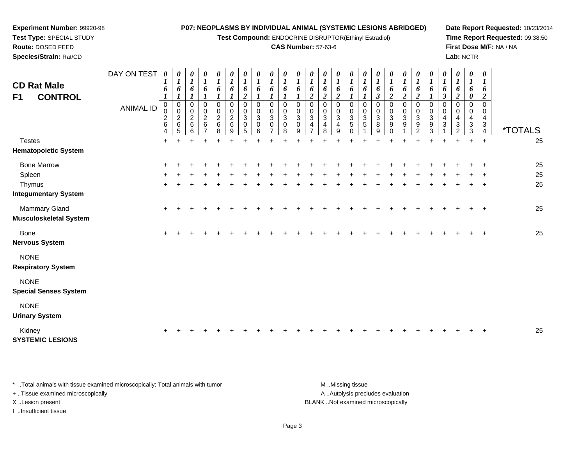**Test Compound:** ENDOCRINE DISRUPTOR(Ethinyl Estradiol)

#### **CAS Number:** 57-63-6

**Date Report Requested:** 10/23/2014**Time Report Requested:** 09:38:50**First Dose M/F:** NA / NA**Lab:** NCTR

| <b>CD Rat Male</b><br>F1<br><b>CONTROL</b>                            | DAY ON TEST<br><b>ANIMAL ID</b> | $\boldsymbol{\theta}$<br>1<br>6<br>$\boldsymbol{l}$<br>$\mathbf 0$<br>0<br>$\overline{\mathbf{c}}$<br>6<br>4 | $\boldsymbol{\theta}$<br>$\boldsymbol{l}$<br>6<br>$\pmb{0}$<br>$\mathbf 0$<br>$\frac{2}{6}$<br>5 | 0<br>$\boldsymbol{I}$<br>6<br>0<br>0<br>$\overline{a}$<br>$\,6\,$<br>6 | 0<br>$\boldsymbol{l}$<br>6<br>$\boldsymbol{l}$<br>$\pmb{0}$<br>0<br>$\begin{array}{c} 2 \\ 6 \end{array}$<br>$\overline{7}$ | $\boldsymbol{\theta}$<br>$\boldsymbol{l}$<br>6<br>$\boldsymbol{l}$<br>$\mathbf 0$<br>$\mathbf 0$<br>$\overline{2}$<br>6<br>8 | $\boldsymbol{\theta}$<br>$\boldsymbol{l}$<br>6<br>$\pmb{0}$<br>$\mathbf 0$<br>$\overline{c}$<br>6<br>9 | 0<br>$\boldsymbol{l}$<br>6<br>$\boldsymbol{2}$<br>$\mathbf 0$<br>$\mathbf 0$<br>3<br>$\mathbf 0$<br>5 | $\boldsymbol{\theta}$<br>$\boldsymbol{l}$<br>6<br>$\mathbf 0$<br>$\mathbf 0$<br>3<br>$\Omega$<br>6 | $\boldsymbol{\theta}$<br>$\boldsymbol{l}$<br>6<br>$\mathbf 0$<br>$\Omega$<br>3<br>$\Omega$<br>$\overline{7}$ | $\boldsymbol{\theta}$<br>$\boldsymbol{l}$<br>6<br>$\mathbf 0$<br>$\mathbf 0$<br>$\mathbf{3}$<br>$\mathbf 0$<br>8 | 0<br>$\boldsymbol{l}$<br>6<br>0<br>$\mathbf 0$<br>3<br>$\mathbf 0$<br>9 | 0<br>$\boldsymbol{l}$<br>6<br>$\overline{c}$<br>0<br>0<br>$\sqrt{3}$<br>$\overline{4}$<br>$\overline{7}$ | 0<br>$\boldsymbol{l}$<br>6<br>$\overline{c}$<br>$\mathbf 0$<br>$\overline{0}$<br>$\mathbf{3}$<br>4<br>8 | 0<br>$\boldsymbol{l}$<br>6<br>$\boldsymbol{2}$<br>$\mathbf 0$<br>0<br>3<br>4<br>9 | 0<br>$\boldsymbol{l}$<br>6<br>0<br>$\mathbf 0$<br>3<br>5<br>$\Omega$ | 0<br>$\boldsymbol{l}$<br>6<br>$\mathbf 0$<br>0<br>3<br>5 | $\boldsymbol{\theta}$<br>$\boldsymbol{l}$<br>6<br>$\boldsymbol{\beta}$<br>$\mathbf 0$<br>$\mathbf 0$<br>$\mathbf{3}$<br>8<br>9 | $\boldsymbol{\theta}$<br>$\boldsymbol{l}$<br>6<br>$\overline{2}$<br>$\pmb{0}$<br>$\mathbf 0$<br>3<br>9<br>$\Omega$ | 0<br>$\boldsymbol{l}$<br>6<br>$\overline{c}$<br>0<br>$\mathbf 0$<br>3<br>9 | 0<br>$\boldsymbol{l}$<br>6<br>$\boldsymbol{2}$<br>$\mathbf 0$<br>$\mathbf 0$<br>$\sqrt{3}$<br>9<br>2 | 0<br>$\boldsymbol{l}$<br>6<br>$\mathbf 0$<br>$\mathbf 0$<br>3<br>9<br>3 | 0<br>$\boldsymbol{l}$<br>6<br>$\boldsymbol{\beta}$<br>$\mathbf 0$<br>0<br>$\overline{4}$<br>3 | 0<br>$\boldsymbol{l}$<br>6<br>$\overline{a}$<br>0<br>$\Omega$<br>4<br>3<br>2 | 0<br>1<br>6<br>0<br>$\mathbf 0$<br>0<br>4<br>$\ensuremath{\mathsf{3}}$<br>3 | $\boldsymbol{\theta}$<br>$\boldsymbol{l}$<br>6<br>$\overline{2}$<br>$\mathbf 0$<br>0<br>4<br>3<br>$\overline{4}$ | <i><b>*TOTALS</b></i> |
|-----------------------------------------------------------------------|---------------------------------|--------------------------------------------------------------------------------------------------------------|--------------------------------------------------------------------------------------------------|------------------------------------------------------------------------|-----------------------------------------------------------------------------------------------------------------------------|------------------------------------------------------------------------------------------------------------------------------|--------------------------------------------------------------------------------------------------------|-------------------------------------------------------------------------------------------------------|----------------------------------------------------------------------------------------------------|--------------------------------------------------------------------------------------------------------------|------------------------------------------------------------------------------------------------------------------|-------------------------------------------------------------------------|----------------------------------------------------------------------------------------------------------|---------------------------------------------------------------------------------------------------------|-----------------------------------------------------------------------------------|----------------------------------------------------------------------|----------------------------------------------------------|--------------------------------------------------------------------------------------------------------------------------------|--------------------------------------------------------------------------------------------------------------------|----------------------------------------------------------------------------|------------------------------------------------------------------------------------------------------|-------------------------------------------------------------------------|-----------------------------------------------------------------------------------------------|------------------------------------------------------------------------------|-----------------------------------------------------------------------------|------------------------------------------------------------------------------------------------------------------|-----------------------|
| <b>Testes</b><br><b>Hematopoietic System</b>                          |                                 | $\ddot{}$                                                                                                    |                                                                                                  |                                                                        | $\ddot{}$                                                                                                                   |                                                                                                                              |                                                                                                        |                                                                                                       |                                                                                                    |                                                                                                              |                                                                                                                  |                                                                         |                                                                                                          |                                                                                                         |                                                                                   |                                                                      |                                                          |                                                                                                                                |                                                                                                                    |                                                                            |                                                                                                      |                                                                         | $\ddot{}$                                                                                     | $\ddot{}$                                                                    | $\ddot{}$                                                                   | $\ddot{+}$                                                                                                       | 25                    |
| <b>Bone Marrow</b><br>Spleen<br>Thymus<br><b>Integumentary System</b> |                                 | ÷                                                                                                            |                                                                                                  |                                                                        |                                                                                                                             |                                                                                                                              |                                                                                                        |                                                                                                       |                                                                                                    |                                                                                                              |                                                                                                                  |                                                                         |                                                                                                          |                                                                                                         |                                                                                   |                                                                      |                                                          |                                                                                                                                |                                                                                                                    |                                                                            |                                                                                                      |                                                                         |                                                                                               |                                                                              |                                                                             |                                                                                                                  | 25<br>25<br>25        |
| Mammary Gland<br><b>Musculoskeletal System</b>                        |                                 | $\ddot{}$                                                                                                    |                                                                                                  |                                                                        |                                                                                                                             |                                                                                                                              |                                                                                                        |                                                                                                       |                                                                                                    |                                                                                                              |                                                                                                                  |                                                                         |                                                                                                          |                                                                                                         |                                                                                   |                                                                      |                                                          |                                                                                                                                |                                                                                                                    |                                                                            |                                                                                                      |                                                                         |                                                                                               |                                                                              |                                                                             | $\ddot{}$                                                                                                        | 25                    |
| <b>Bone</b><br>Nervous System                                         |                                 | $\pm$                                                                                                        |                                                                                                  |                                                                        |                                                                                                                             |                                                                                                                              |                                                                                                        |                                                                                                       |                                                                                                    |                                                                                                              |                                                                                                                  |                                                                         |                                                                                                          |                                                                                                         |                                                                                   |                                                                      |                                                          |                                                                                                                                |                                                                                                                    |                                                                            |                                                                                                      |                                                                         |                                                                                               |                                                                              |                                                                             | ÷                                                                                                                | 25                    |
| <b>NONE</b><br><b>Respiratory System</b>                              |                                 |                                                                                                              |                                                                                                  |                                                                        |                                                                                                                             |                                                                                                                              |                                                                                                        |                                                                                                       |                                                                                                    |                                                                                                              |                                                                                                                  |                                                                         |                                                                                                          |                                                                                                         |                                                                                   |                                                                      |                                                          |                                                                                                                                |                                                                                                                    |                                                                            |                                                                                                      |                                                                         |                                                                                               |                                                                              |                                                                             |                                                                                                                  |                       |
| <b>NONE</b><br><b>Special Senses System</b>                           |                                 |                                                                                                              |                                                                                                  |                                                                        |                                                                                                                             |                                                                                                                              |                                                                                                        |                                                                                                       |                                                                                                    |                                                                                                              |                                                                                                                  |                                                                         |                                                                                                          |                                                                                                         |                                                                                   |                                                                      |                                                          |                                                                                                                                |                                                                                                                    |                                                                            |                                                                                                      |                                                                         |                                                                                               |                                                                              |                                                                             |                                                                                                                  |                       |
| <b>NONE</b><br><b>Urinary System</b>                                  |                                 |                                                                                                              |                                                                                                  |                                                                        |                                                                                                                             |                                                                                                                              |                                                                                                        |                                                                                                       |                                                                                                    |                                                                                                              |                                                                                                                  |                                                                         |                                                                                                          |                                                                                                         |                                                                                   |                                                                      |                                                          |                                                                                                                                |                                                                                                                    |                                                                            |                                                                                                      |                                                                         |                                                                                               |                                                                              |                                                                             |                                                                                                                  |                       |
| Kidney<br><b>SYSTEMIC LESIONS</b>                                     |                                 |                                                                                                              |                                                                                                  |                                                                        |                                                                                                                             |                                                                                                                              |                                                                                                        |                                                                                                       |                                                                                                    |                                                                                                              |                                                                                                                  |                                                                         |                                                                                                          |                                                                                                         |                                                                                   |                                                                      |                                                          |                                                                                                                                |                                                                                                                    |                                                                            |                                                                                                      |                                                                         |                                                                                               |                                                                              |                                                                             |                                                                                                                  | 25                    |
|                                                                       |                                 |                                                                                                              |                                                                                                  |                                                                        |                                                                                                                             |                                                                                                                              |                                                                                                        |                                                                                                       |                                                                                                    |                                                                                                              |                                                                                                                  |                                                                         |                                                                                                          |                                                                                                         |                                                                                   |                                                                      |                                                          |                                                                                                                                |                                                                                                                    |                                                                            |                                                                                                      |                                                                         |                                                                                               |                                                                              |                                                                             |                                                                                                                  |                       |

\* ..Total animals with tissue examined microscopically; Total animals with tumor **M** . Missing tissue M ..Missing tissue + ..Tissue examined microscopically X ..Lesion present BLANK ..Not examined microscopically

I ..Insufficient tissue

**Experiment Number:** 99920-98**Test Type:** SPECIAL STUDY**Route:** DOSED FEED**Species/Strain:** Rat/CD

A ..Autolysis precludes evaluation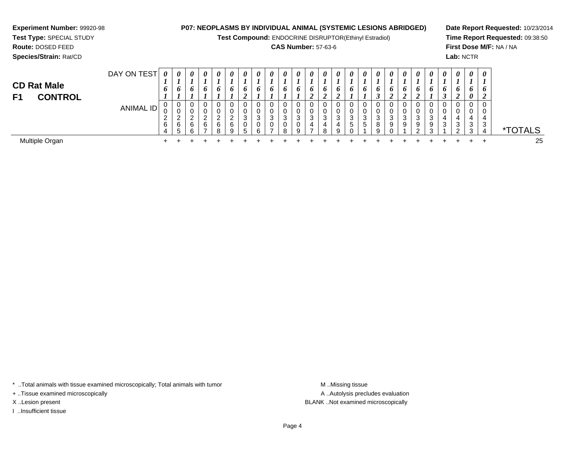# **Experiment Number:** 99920-98

**Test Type:** SPECIAL STUDY**Route:** DOSED FEED

**Species/Strain:** Rat/CD

## **P07: NEOPLASMS BY INDIVIDUAL ANIMAL (SYSTEMIC LESIONS ABRIDGED)**

**Test Compound:** ENDOCRINE DISRUPTOR(Ethinyl Estradiol)

## **CAS Number:** 57-63-6

**Date Report Requested:** 10/23/2014**Time Report Requested:** 09:38:50**First Dose M/F:** NA / NA**Lab:** NCTR

| <b>CD Rat Male</b><br><b>CONTROL</b><br>F <sub>1</sub> | DAY ON TEST      | 0<br>o                         | 0<br>6                                                          | $\boldsymbol{\theta}$<br>6 | $\boldsymbol{\theta}$<br>o   | $\boldsymbol{\theta}$<br>6 | $\boldsymbol{\theta}$<br>$\bm{o}$ | 0<br>o<br>$\epsilon$       | 0      | $\theta$<br>$\bm{o}$ | $\boldsymbol{\theta}$<br>$\bm{o}$ | 0<br>o | $\boldsymbol{\theta}$   | $\theta$<br>o | $\boldsymbol{\theta}$<br>o  | $\boldsymbol{\theta}$<br>$\bm{o}$ | $\boldsymbol{\theta}$<br>o | $\boldsymbol{\theta}$<br>o | $\boldsymbol{\theta}$<br>o | $\theta$<br>$\bm{o}$ | $\theta$<br>o<br>◢              | $\theta$<br>o | 0<br>$\bm{o}$ | $\boldsymbol{\theta}$<br>6 | $\boldsymbol{\theta}$<br>6<br>$\theta$ | $\boldsymbol{\theta}$<br>$\bm{o}$ |                       |
|--------------------------------------------------------|------------------|--------------------------------|-----------------------------------------------------------------|----------------------------|------------------------------|----------------------------|-----------------------------------|----------------------------|--------|----------------------|-----------------------------------|--------|-------------------------|---------------|-----------------------------|-----------------------------------|----------------------------|----------------------------|----------------------------|----------------------|---------------------------------|---------------|---------------|----------------------------|----------------------------------------|-----------------------------------|-----------------------|
|                                                        | <b>ANIMAL ID</b> | 0<br>v<br>$\epsilon$<br>6<br>4 | $\overline{0}$<br>U<br>ົ<br>∼<br>6<br>-<br>$\ddot{\phantom{1}}$ | 0<br>U<br>ົ<br>6<br>ĥ      | $\sim$<br>6<br>$\rightarrow$ | $\sqrt{2}$<br>6<br>Ω       | U<br>U<br>ີ<br>6<br>9             | 0<br>0<br>2<br>◡<br>0<br>G | 3<br>ี | 3                    | $\sim$<br>J<br>R                  | ົ<br>٥ | 3<br>4<br>$\rightarrow$ |               | v<br>3<br>4<br>$\mathbf{q}$ | 3<br>.5                           | 0<br>0<br>3<br>5           | ົ<br><b>ت</b><br>8         | -9                         | 3<br>9               | 0<br>0<br>ົ<br>ັ<br>9<br>$\sim$ | З<br>9        | 4<br>3        | 4<br>ົ<br>J<br>$\sim$      | 0<br>4<br>3<br>◠                       | 0<br>U<br>4<br>3<br>4             | <i><b>*TOTALS</b></i> |
| Multiple Organ                                         |                  |                                |                                                                 |                            |                              |                            |                                   |                            |        |                      |                                   |        |                         |               |                             |                                   |                            |                            |                            |                      |                                 |               |               |                            |                                        |                                   | 25                    |

\* ..Total animals with tissue examined microscopically; Total animals with tumor **M** . Missing tissue M ..Missing tissue

+ ..Tissue examined microscopically

I ..Insufficient tissue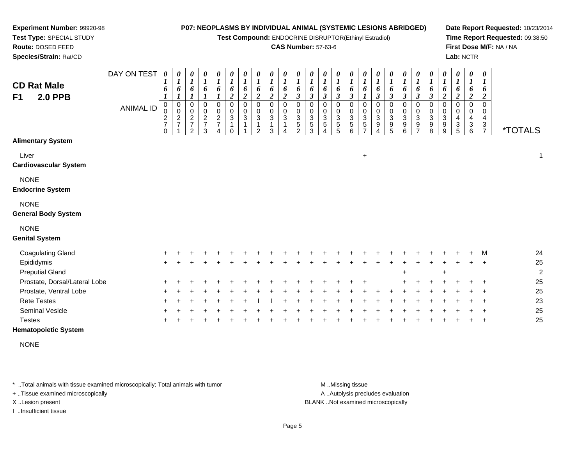**Test Compound:** ENDOCRINE DISRUPTOR(Ethinyl Estradiol)

#### **CAS Number:** 57-63-6

**Date Report Requested:** 10/23/2014**Time Report Requested:** 09:38:50**First Dose M/F:** NA / NA**Lab:** NCTR

| <b>CD Rat Male</b><br><b>2.0 PPB</b><br>F <sub>1</sub> | DAY ON TEST<br><b>ANIMAL ID</b> | $\boldsymbol{\theta}$<br>1<br>6<br>$\pmb{0}$<br>0<br>$\frac{2}{7}$<br>$\Omega$ | 0<br>1<br>6<br>$\boldsymbol{l}$<br>0<br>0<br>$\overline{\mathbf{c}}$<br>$\overline{7}$ | 1<br>6<br>$\mathbf 0$<br>0<br>$\frac{2}{7}$<br>$\overline{2}$ | 0<br>6<br>0<br>$\mathbf 0$<br>$\frac{2}{7}$<br>3 | 0<br>$\boldsymbol{l}$<br>6<br>0<br>$\pmb{0}$<br>$\frac{2}{7}$ | 0<br>$\boldsymbol{l}$<br>6<br>$\overline{c}$<br>$\pmb{0}$<br>$\mathsf 0$<br>$\mathbf{3}$<br>1 | 0<br>$\boldsymbol{l}$<br>6<br>$\boldsymbol{2}$<br>$\pmb{0}$<br>$\pmb{0}$<br>$\mathbf{3}$ | 0<br>$\boldsymbol{l}$<br>6<br>$\boldsymbol{2}$<br>$\mathbf 0$<br>$\mathbf 0$<br>3<br>1<br>2 | 0<br>$\boldsymbol{l}$<br>6<br>$\boldsymbol{2}$<br>$\mathbf 0$<br>$\mathbf 0$<br>3<br>3 | 0<br>$\boldsymbol{l}$<br>6<br>$\overline{2}$<br>$\mathbf 0$<br>$\mathbf 0$<br>3 | 0<br>$\boldsymbol{l}$<br>6<br>$\boldsymbol{\beta}$<br>$\mathbf 0$<br>$\pmb{0}$<br>$\frac{3}{5}$<br>$\overline{2}$ | $\frac{\theta}{I}$<br>6<br>$\mathfrak{z}$<br>0<br>$\mathsf{O}$<br>$\mathbf{3}$<br>5<br>3 | 0<br>$\boldsymbol{l}$<br>6<br>$\mathfrak{z}$<br>$\pmb{0}$<br>$\pmb{0}$<br>$\overline{3}$<br>$\sqrt{5}$ | 0<br>$\boldsymbol{l}$<br>6<br>$\mathfrak{z}$<br>$\mathbf 0$<br>$\mathbf 0$<br>$\mathbf{3}$<br>$\overline{5}$<br>5 | 0<br>6<br>$\mathfrak{z}$<br>$\mathbf 0$<br>$\mathbf 0$<br>$\sqrt{3}$<br>5<br>6 | 0<br>$\boldsymbol{l}$<br>6<br>$\boldsymbol{l}$<br>$\mathbf 0$<br>$\mathbf 0$<br>$\sqrt{3}$<br>$\sqrt{5}$<br>$\overline{ }$ | 0<br>$\boldsymbol{l}$<br>6<br>$\boldsymbol{\beta}$<br>0<br>$\pmb{0}$<br>$\ensuremath{\mathsf{3}}$<br>9 | 0<br>6<br>$\boldsymbol{\beta}$<br>0<br>$\pmb{0}$<br>$\ensuremath{\mathsf{3}}$<br>$9\,$<br>5 | 0<br>$\boldsymbol{l}$<br>6<br>$\mathfrak{z}$<br>$\pmb{0}$<br>$\mathsf{O}\xspace$<br>$\ensuremath{\mathsf{3}}$<br>$\boldsymbol{9}$<br>6 | 0<br>$\boldsymbol{l}$<br>6<br>$\mathfrak{z}$<br>$\pmb{0}$<br>$\pmb{0}$<br>$\overline{3}$<br>$\boldsymbol{9}$<br>$\overline{\phantom{0}}$ | 0<br>$\boldsymbol{l}$<br>6<br>$\mathfrak{z}$<br>$\mathbf 0$<br>$\pmb{0}$<br>$\sqrt{3}$<br>9<br>8 | 0<br>$\boldsymbol{l}$<br>6<br>$\boldsymbol{2}$<br>$\mathbf 0$<br>$\mathbf 0$<br>$\ensuremath{\mathsf{3}}$<br>9<br>9 | 0<br>$\boldsymbol{l}$<br>6<br>$\boldsymbol{2}$<br>$\mathbf 0$<br>0<br>4<br>3<br>5 | 0<br>$\boldsymbol{l}$<br>6<br>$\boldsymbol{2}$<br>$\mathbf 0$<br>0<br>4<br>3<br>6 | $\boldsymbol{\theta}$<br>$\boldsymbol{l}$<br>6<br>$\overline{2}$<br>$\mathbf 0$<br>0<br>4<br>3<br>$\overline{7}$ | <i><b>*TOTALS</b></i> |
|--------------------------------------------------------|---------------------------------|--------------------------------------------------------------------------------|----------------------------------------------------------------------------------------|---------------------------------------------------------------|--------------------------------------------------|---------------------------------------------------------------|-----------------------------------------------------------------------------------------------|------------------------------------------------------------------------------------------|---------------------------------------------------------------------------------------------|----------------------------------------------------------------------------------------|---------------------------------------------------------------------------------|-------------------------------------------------------------------------------------------------------------------|------------------------------------------------------------------------------------------|--------------------------------------------------------------------------------------------------------|-------------------------------------------------------------------------------------------------------------------|--------------------------------------------------------------------------------|----------------------------------------------------------------------------------------------------------------------------|--------------------------------------------------------------------------------------------------------|---------------------------------------------------------------------------------------------|----------------------------------------------------------------------------------------------------------------------------------------|------------------------------------------------------------------------------------------------------------------------------------------|--------------------------------------------------------------------------------------------------|---------------------------------------------------------------------------------------------------------------------|-----------------------------------------------------------------------------------|-----------------------------------------------------------------------------------|------------------------------------------------------------------------------------------------------------------|-----------------------|
| <b>Alimentary System</b>                               |                                 |                                                                                |                                                                                        |                                                               |                                                  |                                                               |                                                                                               |                                                                                          |                                                                                             |                                                                                        |                                                                                 |                                                                                                                   |                                                                                          |                                                                                                        |                                                                                                                   |                                                                                |                                                                                                                            |                                                                                                        |                                                                                             |                                                                                                                                        |                                                                                                                                          |                                                                                                  |                                                                                                                     |                                                                                   |                                                                                   |                                                                                                                  |                       |
| Liver<br><b>Cardiovascular System</b>                  |                                 |                                                                                |                                                                                        |                                                               |                                                  |                                                               |                                                                                               |                                                                                          |                                                                                             |                                                                                        |                                                                                 |                                                                                                                   |                                                                                          |                                                                                                        |                                                                                                                   |                                                                                | $\ddot{}$                                                                                                                  |                                                                                                        |                                                                                             |                                                                                                                                        |                                                                                                                                          |                                                                                                  |                                                                                                                     |                                                                                   |                                                                                   |                                                                                                                  | $\mathbf 1$           |
| <b>NONE</b><br><b>Endocrine System</b>                 |                                 |                                                                                |                                                                                        |                                                               |                                                  |                                                               |                                                                                               |                                                                                          |                                                                                             |                                                                                        |                                                                                 |                                                                                                                   |                                                                                          |                                                                                                        |                                                                                                                   |                                                                                |                                                                                                                            |                                                                                                        |                                                                                             |                                                                                                                                        |                                                                                                                                          |                                                                                                  |                                                                                                                     |                                                                                   |                                                                                   |                                                                                                                  |                       |
| <b>NONE</b><br><b>General Body System</b>              |                                 |                                                                                |                                                                                        |                                                               |                                                  |                                                               |                                                                                               |                                                                                          |                                                                                             |                                                                                        |                                                                                 |                                                                                                                   |                                                                                          |                                                                                                        |                                                                                                                   |                                                                                |                                                                                                                            |                                                                                                        |                                                                                             |                                                                                                                                        |                                                                                                                                          |                                                                                                  |                                                                                                                     |                                                                                   |                                                                                   |                                                                                                                  |                       |
| <b>NONE</b><br><b>Genital System</b>                   |                                 |                                                                                |                                                                                        |                                                               |                                                  |                                                               |                                                                                               |                                                                                          |                                                                                             |                                                                                        |                                                                                 |                                                                                                                   |                                                                                          |                                                                                                        |                                                                                                                   |                                                                                |                                                                                                                            |                                                                                                        |                                                                                             |                                                                                                                                        |                                                                                                                                          |                                                                                                  |                                                                                                                     |                                                                                   |                                                                                   |                                                                                                                  |                       |
| <b>Coagulating Gland</b>                               |                                 |                                                                                |                                                                                        |                                                               |                                                  |                                                               |                                                                                               |                                                                                          |                                                                                             |                                                                                        |                                                                                 |                                                                                                                   |                                                                                          |                                                                                                        |                                                                                                                   |                                                                                |                                                                                                                            |                                                                                                        |                                                                                             |                                                                                                                                        |                                                                                                                                          |                                                                                                  |                                                                                                                     |                                                                                   |                                                                                   | M                                                                                                                | 24                    |
| Epididymis                                             |                                 |                                                                                |                                                                                        |                                                               |                                                  |                                                               |                                                                                               |                                                                                          |                                                                                             |                                                                                        |                                                                                 |                                                                                                                   |                                                                                          |                                                                                                        |                                                                                                                   |                                                                                |                                                                                                                            |                                                                                                        |                                                                                             |                                                                                                                                        |                                                                                                                                          |                                                                                                  |                                                                                                                     |                                                                                   |                                                                                   |                                                                                                                  | 25                    |
| <b>Preputial Gland</b>                                 |                                 |                                                                                |                                                                                        |                                                               |                                                  |                                                               |                                                                                               |                                                                                          |                                                                                             |                                                                                        |                                                                                 |                                                                                                                   |                                                                                          |                                                                                                        |                                                                                                                   |                                                                                |                                                                                                                            |                                                                                                        |                                                                                             |                                                                                                                                        |                                                                                                                                          |                                                                                                  | $\ddot{}$                                                                                                           |                                                                                   |                                                                                   |                                                                                                                  | $\overline{c}$        |
| Prostate, Dorsal/Lateral Lobe                          |                                 |                                                                                |                                                                                        |                                                               |                                                  |                                                               |                                                                                               |                                                                                          |                                                                                             |                                                                                        |                                                                                 |                                                                                                                   |                                                                                          |                                                                                                        |                                                                                                                   |                                                                                |                                                                                                                            |                                                                                                        |                                                                                             |                                                                                                                                        |                                                                                                                                          |                                                                                                  |                                                                                                                     |                                                                                   |                                                                                   |                                                                                                                  | 25                    |
| Prostate, Ventral Lobe                                 |                                 |                                                                                |                                                                                        |                                                               |                                                  |                                                               |                                                                                               |                                                                                          |                                                                                             |                                                                                        |                                                                                 |                                                                                                                   |                                                                                          |                                                                                                        |                                                                                                                   |                                                                                |                                                                                                                            |                                                                                                        |                                                                                             |                                                                                                                                        |                                                                                                                                          |                                                                                                  |                                                                                                                     |                                                                                   |                                                                                   |                                                                                                                  | 25                    |
| <b>Rete Testes</b>                                     |                                 |                                                                                |                                                                                        |                                                               |                                                  |                                                               |                                                                                               |                                                                                          |                                                                                             |                                                                                        |                                                                                 |                                                                                                                   |                                                                                          |                                                                                                        |                                                                                                                   |                                                                                |                                                                                                                            |                                                                                                        |                                                                                             |                                                                                                                                        |                                                                                                                                          |                                                                                                  |                                                                                                                     |                                                                                   |                                                                                   |                                                                                                                  | 23                    |
| Seminal Vesicle                                        |                                 |                                                                                |                                                                                        |                                                               |                                                  |                                                               |                                                                                               |                                                                                          |                                                                                             |                                                                                        |                                                                                 |                                                                                                                   |                                                                                          |                                                                                                        |                                                                                                                   |                                                                                |                                                                                                                            |                                                                                                        |                                                                                             |                                                                                                                                        |                                                                                                                                          |                                                                                                  |                                                                                                                     |                                                                                   |                                                                                   |                                                                                                                  | 25                    |
| <b>Testes</b>                                          |                                 |                                                                                |                                                                                        |                                                               |                                                  |                                                               |                                                                                               |                                                                                          |                                                                                             |                                                                                        |                                                                                 |                                                                                                                   |                                                                                          |                                                                                                        |                                                                                                                   |                                                                                |                                                                                                                            |                                                                                                        |                                                                                             |                                                                                                                                        |                                                                                                                                          |                                                                                                  |                                                                                                                     |                                                                                   |                                                                                   |                                                                                                                  | 25                    |
| <b>Hematopoietic System</b>                            |                                 |                                                                                |                                                                                        |                                                               |                                                  |                                                               |                                                                                               |                                                                                          |                                                                                             |                                                                                        |                                                                                 |                                                                                                                   |                                                                                          |                                                                                                        |                                                                                                                   |                                                                                |                                                                                                                            |                                                                                                        |                                                                                             |                                                                                                                                        |                                                                                                                                          |                                                                                                  |                                                                                                                     |                                                                                   |                                                                                   |                                                                                                                  |                       |

NONE

\* ..Total animals with tissue examined microscopically; Total animals with tumor **M** . Missing tissue M ..Missing tissue

+ ..Tissue examined microscopically

**Experiment Number:** 99920-98**Test Type:** SPECIAL STUDY**Route:** DOSED FEED**Species/Strain:** Rat/CD

I ..Insufficient tissue

A ..Autolysis precludes evaluation

X ..Lesion present BLANK ..Not examined microscopically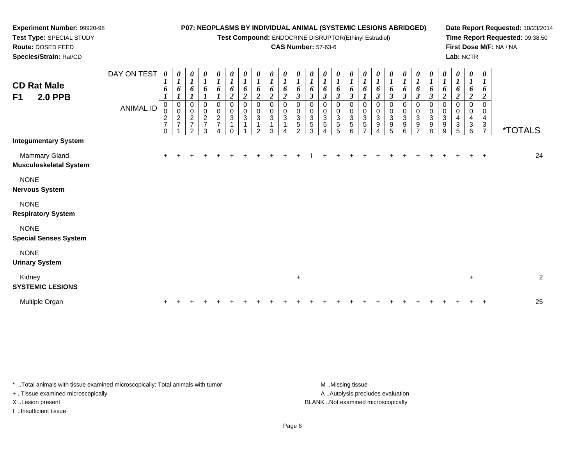**Test Compound:** ENDOCRINE DISRUPTOR(Ethinyl Estradiol)

#### **CAS Number:** 57-63-6

**Date Report Requested:** 10/23/2014**Time Report Requested:** 09:38:50**First Dose M/F:** NA / NA**Lab:** NCTR

DAY ON TEST**CD Rat Male F1 2.0 PPB**ANIMAL ID*0 1 6 1* 0 0 2 7 0*0 1 6 1* 0 0 2 7 1*0 1 6 1* 0 0 2 7 2*0 1 6 1* 0 0 2 7 3*0 1 6 1* 0 0 2 7 4*0 1 6 2* 0 0 3 1 0*0 1 6 2* 0 0 3 1 1*0 1 6 2* 0 0 3 1 2*0 1 6 2* 0 0 3 1 3*0 1 6 2* 0 0 3 1 4*0 1 6 3* 0 0 3 5 2*0 1 6 3* 0 0 3 5 3*0 1 6 3* 0 0 3 5 4*0 1 6 3* 0 0 3 5 5*0 1 6 3* 0 0 3 5 6*0 1 6 1* 0 0 3 5 7*0 1 6 3* 0 0 3 9 4*0 1 6 3* 0 0 3 9 5*0 1 6 3* 0 0 3 9 6*0 1 6 3* 0 0 3 9 7*0 1 6 3* 0 0 3 9 8*0 1 6 2* 0 0 3 9 9*0 1 6 2* 0 0 4 3 5*0 1 6 2* 0 0 4 3 6*0 1 6 2* 0 0 43<br>7 <sup>7</sup> \*TOTALS**Integumentary System**Mammary Glandd  $+$  <sup>+</sup> <sup>+</sup> <sup>+</sup> <sup>+</sup> <sup>+</sup> <sup>+</sup> <sup>+</sup> <sup>+</sup> <sup>+</sup> <sup>+</sup> <sup>I</sup> <sup>+</sup> <sup>+</sup> <sup>+</sup> <sup>+</sup> <sup>+</sup> <sup>+</sup> <sup>+</sup> <sup>+</sup> <sup>+</sup> <sup>+</sup> <sup>+</sup> <sup>+</sup> <sup>+</sup> <sup>24</sup> **Musculoskeletal System**NONE **Nervous System**NONE **Respiratory SystemNONE Special Senses System**NONE **Urinary System**Kidney $\mathsf y$  $+$  2 **SYSTEMIC LESIONS**Multiple Organn  $+$ <sup>+</sup> <sup>+</sup> <sup>+</sup> <sup>+</sup> <sup>+</sup> <sup>+</sup> <sup>+</sup> <sup>+</sup> <sup>+</sup> <sup>+</sup> <sup>+</sup> <sup>+</sup> <sup>+</sup> <sup>+</sup> <sup>+</sup> <sup>+</sup> <sup>+</sup> <sup>+</sup> <sup>+</sup> <sup>+</sup> <sup>+</sup> <sup>+</sup> <sup>+</sup> <sup>+</sup> <sup>25</sup>

\* ..Total animals with tissue examined microscopically; Total animals with tumor M ...Missing tissue M ...Missing tissue

+ ..Tissue examined microscopically

**Experiment Number:** 99920-98**Test Type:** SPECIAL STUDY**Route:** DOSED FEED**Species/Strain:** Rat/CD

I ..Insufficient tissue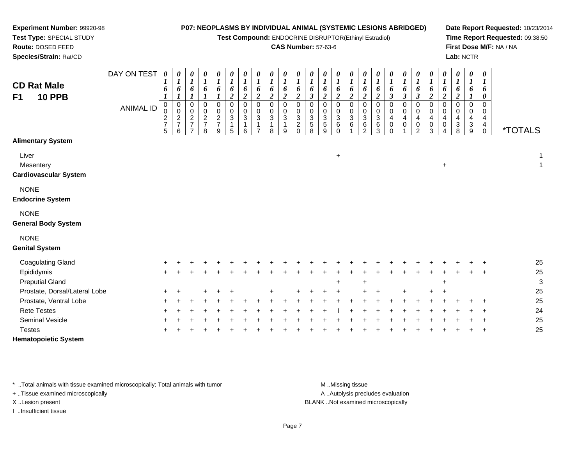**Test Compound:** ENDOCRINE DISRUPTOR(Ethinyl Estradiol)

#### **CAS Number:** 57-63-6

*0 1*

*0 1*

*0 1*

*0 1*

*0 1*

*0 1*

*0 1*

*0 1*

*0 1*

*0 1*

*0 1*

*0 1*

*0 1*

*0 1*

*0 1*

*0 1*

**Date Report Requested:** 10/23/2014**Time Report Requested:** 09:38:50**First Dose M/F:** NA / NA**Lab:** NCTR

**Test Type:** SPECIAL STUDY**Route:** DOSED FEED **Species/Strain:** Rat/CDDAY ON TEST *0 1***CD Rat Male***0 10 10 10 10 10 10 10 1*

# **F1**

**Experiment Number:** 99920-98

| סט ו זעג ווועו<br><b>10 PPB</b><br>F <sub>1</sub>       |                  | 6<br>$\boldsymbol{l}$<br>0       | 6<br>$\boldsymbol{l}$<br>0             | $\frac{6}{1}$                                         | $\frac{6}{1}$<br>0              | $\frac{6}{1}$<br>0              | 6<br>$\boldsymbol{2}$<br>0        | 6<br>$\overline{2}$<br>0 | 6<br>$\boldsymbol{2}$<br>$\mathbf 0$ | 6<br>$\boldsymbol{2}$<br>$\Omega$ | 6<br>$\boldsymbol{2}$<br>$\mathbf 0$ | 6<br>$\overline{\mathbf{c}}$<br>0             | 6<br>$\mathfrak{z}$<br>0            | 6<br>$\boldsymbol{2}$<br>0          | $\frac{6}{2}$<br>0                              | $\frac{6}{2}$<br>0           | 6<br>$\boldsymbol{2}$ | 6<br>$\boldsymbol{2}$         | 6<br>$\mathfrak{z}$<br>0        | $\frac{6}{3}$<br>0 | 6<br>$\mathfrak{z}$<br>0                                    | 6<br>$\overline{2}$<br>0              | 6<br>$\overline{a}$<br>0 | 6<br>$\boldsymbol{2}$<br>0                     | 6<br>$\boldsymbol{l}$<br>$\mathbf 0$ | 6<br>$\pmb{\theta}$<br>$\mathbf 0$             |                       |
|---------------------------------------------------------|------------------|----------------------------------|----------------------------------------|-------------------------------------------------------|---------------------------------|---------------------------------|-----------------------------------|--------------------------|--------------------------------------|-----------------------------------|--------------------------------------|-----------------------------------------------|-------------------------------------|-------------------------------------|-------------------------------------------------|------------------------------|-----------------------|-------------------------------|---------------------------------|--------------------|-------------------------------------------------------------|---------------------------------------|--------------------------|------------------------------------------------|--------------------------------------|------------------------------------------------|-----------------------|
|                                                         | <b>ANIMAL ID</b> | 0<br>$\frac{2}{7}$<br>$\sqrt{5}$ | $\boldsymbol{0}$<br>$\frac{2}{7}$<br>6 | $_{\rm 0}^{\rm 0}$<br>$\frac{2}{7}$<br>$\overline{ }$ | $\pmb{0}$<br>$\frac{2}{7}$<br>8 | $\pmb{0}$<br>$\frac{2}{7}$<br>9 | $\pmb{0}$<br>$\sqrt{3}$<br>1<br>5 | 0<br>3<br>1<br>6         | 0<br>$\mathbf{3}$<br>$\overline{ }$  | 0<br>$\mathbf{3}$<br>8            | $\pmb{0}$<br>$\mathbf{3}$<br>9       | 0<br>3<br>$\overline{\mathbf{c}}$<br>$\Omega$ | 0<br>$\sqrt{3}$<br>$\,$ 5 $\,$<br>8 | $\pmb{0}$<br>$\mathbf{3}$<br>5<br>9 | $\,0\,$<br>$\sqrt{3}$<br>$\,6\,$<br>$\mathbf 0$ | 0<br>$\mathbf{3}$<br>$\,6\,$ | 0<br>3<br>6<br>2      | 0<br>$\sqrt{3}$<br>$\,6$<br>3 | 0<br>4<br>$\pmb{0}$<br>$\Omega$ | 0<br>4<br>0        | $\pmb{0}$<br>$\overline{4}$<br>$\mathbf 0$<br>$\mathcal{P}$ | 0<br>$\overline{4}$<br>$\pmb{0}$<br>3 | 0<br>4<br>0<br>4         | 0<br>4<br>$\ensuremath{\mathsf{3}}$<br>$\,8\,$ | $\mathbf 0$<br>4<br>3<br>9           | 0<br>$\overline{\mathbf{4}}$<br>$^{\,4}_{\,0}$ | <i><b>*TOTALS</b></i> |
| <b>Alimentary System</b>                                |                  |                                  |                                        |                                                       |                                 |                                 |                                   |                          |                                      |                                   |                                      |                                               |                                     |                                     |                                                 |                              |                       |                               |                                 |                    |                                                             |                                       |                          |                                                |                                      |                                                |                       |
| Liver<br>Mesentery<br><b>Cardiovascular System</b>      |                  |                                  |                                        |                                                       |                                 |                                 |                                   |                          |                                      |                                   |                                      |                                               |                                     |                                     | $\ddot{}$                                       |                              |                       |                               |                                 |                    |                                                             |                                       | $\ddot{}$                |                                                |                                      |                                                | 1<br>1                |
| <b>NONE</b><br><b>Endocrine System</b>                  |                  |                                  |                                        |                                                       |                                 |                                 |                                   |                          |                                      |                                   |                                      |                                               |                                     |                                     |                                                 |                              |                       |                               |                                 |                    |                                                             |                                       |                          |                                                |                                      |                                                |                       |
| <b>NONE</b><br><b>General Body System</b>               |                  |                                  |                                        |                                                       |                                 |                                 |                                   |                          |                                      |                                   |                                      |                                               |                                     |                                     |                                                 |                              |                       |                               |                                 |                    |                                                             |                                       |                          |                                                |                                      |                                                |                       |
| <b>NONE</b><br><b>Genital System</b>                    |                  |                                  |                                        |                                                       |                                 |                                 |                                   |                          |                                      |                                   |                                      |                                               |                                     |                                     |                                                 |                              |                       |                               |                                 |                    |                                                             |                                       |                          |                                                |                                      |                                                |                       |
| <b>Coagulating Gland</b>                                |                  |                                  |                                        |                                                       |                                 |                                 |                                   |                          |                                      |                                   |                                      |                                               |                                     |                                     |                                                 |                              |                       |                               |                                 |                    |                                                             |                                       |                          |                                                |                                      |                                                | 25                    |
| Epididymis                                              |                  | $\ddot{}$                        |                                        |                                                       |                                 |                                 |                                   |                          |                                      |                                   |                                      |                                               |                                     |                                     |                                                 |                              |                       |                               |                                 |                    |                                                             |                                       |                          |                                                |                                      |                                                | 25                    |
| <b>Preputial Gland</b>                                  |                  |                                  |                                        |                                                       |                                 |                                 |                                   |                          |                                      |                                   |                                      |                                               |                                     |                                     | $\ddot{}$                                       |                              | $\ddot{}$             |                               |                                 |                    |                                                             |                                       | ÷                        |                                                |                                      |                                                | 3<br>25               |
| Prostate, Dorsal/Lateral Lobe<br>Prostate, Ventral Lobe |                  | +                                |                                        |                                                       |                                 |                                 |                                   |                          |                                      |                                   |                                      |                                               |                                     |                                     |                                                 |                              |                       |                               |                                 |                    |                                                             |                                       |                          |                                                |                                      |                                                | 25                    |
| <b>Rete Testes</b>                                      |                  |                                  |                                        |                                                       |                                 |                                 |                                   |                          |                                      |                                   |                                      |                                               |                                     |                                     |                                                 |                              |                       |                               |                                 |                    |                                                             |                                       |                          |                                                |                                      |                                                | 24                    |
| Seminal Vesicle                                         |                  |                                  |                                        |                                                       |                                 |                                 |                                   |                          |                                      |                                   |                                      |                                               |                                     |                                     |                                                 |                              |                       |                               |                                 |                    |                                                             |                                       |                          |                                                |                                      |                                                | 25                    |
| <b>Testes</b>                                           |                  |                                  |                                        |                                                       |                                 |                                 |                                   |                          |                                      |                                   |                                      |                                               |                                     |                                     |                                                 |                              |                       |                               |                                 |                    |                                                             |                                       |                          |                                                |                                      | $\overline{ }$                                 | 25                    |

**Hematopoietic System**

\* ..Total animals with tissue examined microscopically; Total animals with tumor **M** ..Missing tissue M ..Missing tissue

+ ..Tissue examined microscopically

I ..Insufficient tissue

A .. Autolysis precludes evaluation

X ..Lesion present BLANK ..Not examined microscopically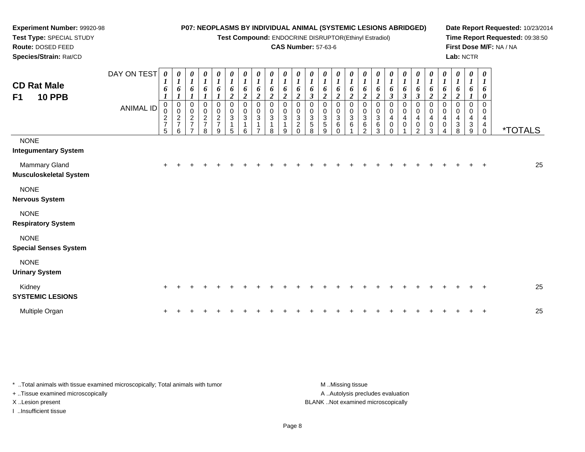**Test Compound:** ENDOCRINE DISRUPTOR(Ethinyl Estradiol)

#### **CAS Number:** 57-63-6

**Date Report Requested:** 10/23/2014**Time Report Requested:** 09:38:50**First Dose M/F:** NA / NA**Lab:** NCTR

| <b>CD Rat Male</b><br><b>10 PPB</b><br>F <sub>1</sub> | DAY ON TEST<br><b>ANIMAL ID</b> | $\boldsymbol{\theta}$<br>6<br>$\pmb{0}$<br>$\mathsf{O}\xspace$<br>$\frac{2}{7}$<br>5 | $\boldsymbol{\theta}$<br>$\boldsymbol{l}$<br>6<br>$\mathbf 0$<br>$\boldsymbol{0}$<br>$\sqrt{2}$<br>$\overline{7}$<br>6 | 0<br>$\boldsymbol{l}$<br>6<br>0<br>$\pmb{0}$<br>$\sqrt{2}$<br>$\overline{7}$<br>$\overline{7}$ | $\boldsymbol{\theta}$<br>$\boldsymbol{l}$<br>6<br>0<br>$\pmb{0}$<br>$\frac{2}{7}$<br>8 | 0<br>$\boldsymbol{l}$<br>6<br>0<br>$\pmb{0}$<br>$\frac{2}{7}$<br>9 | $\boldsymbol{\theta}$<br>$\boldsymbol{l}$<br>6<br>$\boldsymbol{2}$<br>$\pmb{0}$<br>$\mathbf 0$<br>$\sqrt{3}$<br>$\mathbf{1}$<br>5 | 0<br>$\boldsymbol{l}$<br>6<br>$\boldsymbol{2}$<br>0<br>$\pmb{0}$<br>$\ensuremath{\mathsf{3}}$<br>$\mathbf 1$<br>6 | $\boldsymbol{\theta}$<br>$\mathbf{I}$<br>6<br>2<br>0<br>$\mathbf 0$<br>$\sqrt{3}$<br>1<br>⇁ | 0<br>6<br>2<br>0<br>0<br>3<br>8 | $\pmb{\theta}$<br>$\boldsymbol{l}$<br>6<br>$\boldsymbol{2}$<br>$\mathbf 0$<br>$\mathbf 0$<br>$\sqrt{3}$<br>$\mathbf{1}$<br>9 | 0<br>$\boldsymbol{l}$<br>$\boldsymbol{2}$<br>0<br>$\sqrt{3}$<br>$\overline{c}$<br>$\Omega$ | 0<br>6<br>$\boldsymbol{\beta}$<br>0<br>3<br>$\sqrt{5}$<br>8 | 0<br>6<br>$\boldsymbol{2}$<br>0<br>0<br>3<br>5<br>9 | 0<br>$\mathbf{I}$<br>6<br>$\boldsymbol{2}$<br>$\Omega$<br>$\mathbf 0$<br>$\sqrt{3}$<br>6<br>$\Omega$ | 0<br>$\boldsymbol{l}$<br>6<br>$\boldsymbol{2}$<br>0<br>$\pmb{0}$<br>$\sqrt{3}$<br>6 | 0<br>$\mathbf{I}$<br>6<br>$\boldsymbol{2}$<br>0<br>$\mathbf 0$<br>$\sqrt{3}$<br>6<br>2 | 0<br>$\boldsymbol{l}$<br>6<br>$\boldsymbol{2}$<br>0<br>0<br>$\sqrt{3}$<br>$\,6$<br>3 | $\pmb{\theta}$<br>$\boldsymbol{l}$<br>6<br>$\boldsymbol{\beta}$<br>0<br>0<br>4<br>$\mathbf 0$<br>$\Omega$ | 0<br>$\boldsymbol{l}$<br>6<br>$\boldsymbol{\beta}$<br>0<br>0<br>4<br>0 | $\boldsymbol{\theta}$<br>$\boldsymbol{l}$<br>6<br>$\mathfrak{z}$<br>0<br>0<br>4<br>$\pmb{0}$<br>$\mathcal{P}$ | 0<br>6<br>$\boldsymbol{2}$<br>0<br>$\pmb{0}$<br>4<br>0<br>3 | 0<br>1<br>6<br>$\boldsymbol{2}$<br>0<br>$\mathbf 0$<br>4<br>0<br>4 | 0<br>$\boldsymbol{l}$<br>6<br>$\boldsymbol{2}$<br>$\mathbf 0$<br>$\mathbf 0$<br>$\overline{\mathbf{4}}$<br>$\ensuremath{\mathsf{3}}$<br>8 | $\pmb{\theta}$<br>$\boldsymbol{l}$<br>6<br>$\mathbf 0$<br>$\mathbf 0$<br>$\overline{4}$<br>$\sqrt{3}$<br>$9\,$ | 0<br>$\boldsymbol{l}$<br>6<br>0<br>$\Omega$<br>0<br>4<br>4<br>$\Omega$ | <i><b>*TOTALS</b></i> |
|-------------------------------------------------------|---------------------------------|--------------------------------------------------------------------------------------|------------------------------------------------------------------------------------------------------------------------|------------------------------------------------------------------------------------------------|----------------------------------------------------------------------------------------|--------------------------------------------------------------------|-----------------------------------------------------------------------------------------------------------------------------------|-------------------------------------------------------------------------------------------------------------------|---------------------------------------------------------------------------------------------|---------------------------------|------------------------------------------------------------------------------------------------------------------------------|--------------------------------------------------------------------------------------------|-------------------------------------------------------------|-----------------------------------------------------|------------------------------------------------------------------------------------------------------|-------------------------------------------------------------------------------------|----------------------------------------------------------------------------------------|--------------------------------------------------------------------------------------|-----------------------------------------------------------------------------------------------------------|------------------------------------------------------------------------|---------------------------------------------------------------------------------------------------------------|-------------------------------------------------------------|--------------------------------------------------------------------|-------------------------------------------------------------------------------------------------------------------------------------------|----------------------------------------------------------------------------------------------------------------|------------------------------------------------------------------------|-----------------------|
| <b>NONE</b><br><b>Integumentary System</b>            |                                 |                                                                                      |                                                                                                                        |                                                                                                |                                                                                        |                                                                    |                                                                                                                                   |                                                                                                                   |                                                                                             |                                 |                                                                                                                              |                                                                                            |                                                             |                                                     |                                                                                                      |                                                                                     |                                                                                        |                                                                                      |                                                                                                           |                                                                        |                                                                                                               |                                                             |                                                                    |                                                                                                                                           |                                                                                                                |                                                                        |                       |
| Mammary Gland<br><b>Musculoskeletal System</b>        |                                 | $\ddot{}$                                                                            |                                                                                                                        |                                                                                                |                                                                                        |                                                                    |                                                                                                                                   |                                                                                                                   |                                                                                             |                                 |                                                                                                                              |                                                                                            |                                                             |                                                     |                                                                                                      |                                                                                     |                                                                                        |                                                                                      |                                                                                                           |                                                                        |                                                                                                               |                                                             |                                                                    |                                                                                                                                           |                                                                                                                |                                                                        | 25                    |
| <b>NONE</b><br><b>Nervous System</b>                  |                                 |                                                                                      |                                                                                                                        |                                                                                                |                                                                                        |                                                                    |                                                                                                                                   |                                                                                                                   |                                                                                             |                                 |                                                                                                                              |                                                                                            |                                                             |                                                     |                                                                                                      |                                                                                     |                                                                                        |                                                                                      |                                                                                                           |                                                                        |                                                                                                               |                                                             |                                                                    |                                                                                                                                           |                                                                                                                |                                                                        |                       |
| <b>NONE</b><br><b>Respiratory System</b>              |                                 |                                                                                      |                                                                                                                        |                                                                                                |                                                                                        |                                                                    |                                                                                                                                   |                                                                                                                   |                                                                                             |                                 |                                                                                                                              |                                                                                            |                                                             |                                                     |                                                                                                      |                                                                                     |                                                                                        |                                                                                      |                                                                                                           |                                                                        |                                                                                                               |                                                             |                                                                    |                                                                                                                                           |                                                                                                                |                                                                        |                       |
| <b>NONE</b><br><b>Special Senses System</b>           |                                 |                                                                                      |                                                                                                                        |                                                                                                |                                                                                        |                                                                    |                                                                                                                                   |                                                                                                                   |                                                                                             |                                 |                                                                                                                              |                                                                                            |                                                             |                                                     |                                                                                                      |                                                                                     |                                                                                        |                                                                                      |                                                                                                           |                                                                        |                                                                                                               |                                                             |                                                                    |                                                                                                                                           |                                                                                                                |                                                                        |                       |
| <b>NONE</b><br><b>Urinary System</b>                  |                                 |                                                                                      |                                                                                                                        |                                                                                                |                                                                                        |                                                                    |                                                                                                                                   |                                                                                                                   |                                                                                             |                                 |                                                                                                                              |                                                                                            |                                                             |                                                     |                                                                                                      |                                                                                     |                                                                                        |                                                                                      |                                                                                                           |                                                                        |                                                                                                               |                                                             |                                                                    |                                                                                                                                           |                                                                                                                |                                                                        |                       |
| Kidney<br><b>SYSTEMIC LESIONS</b>                     |                                 |                                                                                      |                                                                                                                        |                                                                                                |                                                                                        |                                                                    |                                                                                                                                   |                                                                                                                   |                                                                                             |                                 |                                                                                                                              |                                                                                            |                                                             |                                                     |                                                                                                      |                                                                                     |                                                                                        |                                                                                      |                                                                                                           |                                                                        |                                                                                                               |                                                             |                                                                    |                                                                                                                                           |                                                                                                                |                                                                        | 25                    |
| Multiple Organ                                        |                                 |                                                                                      |                                                                                                                        |                                                                                                |                                                                                        |                                                                    |                                                                                                                                   |                                                                                                                   |                                                                                             |                                 |                                                                                                                              |                                                                                            |                                                             |                                                     |                                                                                                      |                                                                                     |                                                                                        |                                                                                      |                                                                                                           |                                                                        |                                                                                                               |                                                             |                                                                    |                                                                                                                                           |                                                                                                                |                                                                        | 25                    |

\* ..Total animals with tissue examined microscopically; Total animals with tumor **M** . Missing tissue M ..Missing tissue A ..Autolysis precludes evaluation + ..Tissue examined microscopically X ..Lesion present BLANK ..Not examined microscopicallyI ..Insufficient tissue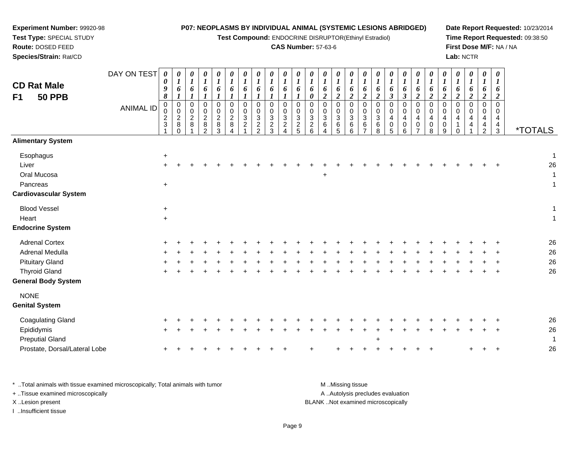#### **Experiment Number:** 99920-98**Test Type:** SPECIAL STUDY**Route:** DOSED FEED **Species/Strain:** Rat/CD**P07: NEOPLASMS BY INDIVIDUAL ANIMAL (SYSTEMIC LESIONS ABRIDGED)Test Compound:** ENDOCRINE DISRUPTOR(Ethinyl Estradiol)**CAS Number:** 57-63-6**Date Report Requested:** 10/23/2014**Time Report Requested:** 09:38:50**First Dose M/F:** NA / NA**Lab:** NCTRDAY ON TEST**CD Rat Male F1 50 PPB**ANIMAL ID*0 0 9 8* 0 0 2 3 1*0 1 6 1* 00<br>28<br>0 *0 1 6 1* 0 0 2 8 1*0 1 6 1* 0 0 2 8 2*0 1 6 1* 0 0 2 8 3*0 1 6 1* 0 0 2 8 4*0 1 6 1* 0 0 3 2 1*0 1 6 1* 0 0 3 2 2*0 1 6 1* 0 0 3 2 3*0 1 6 1* 0 0 3 2 4*0 1 6 1* 0 0 3 2 5*0 1 6 0* 0 0 3 2 6*0 1 6 2* 0 0 3 6 4*0 1 6 2* 0 0 3 6 5*0 1 6 2* 0 0 3 6 6*0 1 6 2* 0 0 3 6 7*0 1 6 2* 0 0 3 6 8*0 1 6 3* 0 0 4 0 5*0 1 6 3* 0 0 4 0 6*0 1 6 2* 0 0 4 0 7*0 1 6 2* 0 0 4 0 8*0 1 6 2* 0 0 4 0 9*0 1 6 2* 0 0 4 1 0*0 1 6 2* 0 0 4 4 1*0 1 6 2* 0 0 4 4 2*0 1 6 2* 0 0 4 4 $\dot{3}$ 3 \*TOTALS**Alimentary SystemEsophagus**  $\mathsf{S}$  +  $\ddot{\phantom{a}}$ Liver $\mathsf{r}$  + <sup>+</sup> <sup>+</sup> <sup>+</sup> <sup>+</sup> <sup>+</sup> <sup>+</sup> <sup>+</sup> <sup>+</sup> <sup>+</sup> <sup>+</sup> <sup>+</sup> <sup>+</sup> <sup>+</sup> <sup>+</sup> <sup>+</sup> <sup>+</sup> <sup>+</sup> <sup>+</sup> <sup>+</sup> <sup>+</sup> <sup>+</sup> <sup>+</sup> <sup>+</sup> <sup>+</sup> <sup>+</sup> <sup>26</sup> Oral Mucosa $\overline{a}$  a  $\overline{1}$ Pancreas <sup>+</sup> $\ddot{\phantom{a}}$ **Cardiovascular System**Blood Vessel <sup>+</sup> $\ddot{\phantom{a}}$ **Heart**  $\frac{1}{2}$  $\ddot{\phantom{a}}$ **Endocrine System**Adrenal Cortex $\mathsf{x}$  + <sup>+</sup> <sup>+</sup> <sup>+</sup> <sup>+</sup> <sup>+</sup> <sup>+</sup> <sup>+</sup> <sup>+</sup> <sup>+</sup> <sup>+</sup> <sup>+</sup> <sup>+</sup> <sup>+</sup> <sup>+</sup> <sup>+</sup> <sup>+</sup> <sup>+</sup> <sup>+</sup> <sup>+</sup> <sup>+</sup> <sup>+</sup> <sup>+</sup> <sup>+</sup> <sup>+</sup> <sup>+</sup> <sup>26</sup> Adrenal Medullaa  $+$  <sup>+</sup> <sup>+</sup> <sup>+</sup> <sup>+</sup> <sup>+</sup> <sup>+</sup> <sup>+</sup> <sup>+</sup> <sup>+</sup> <sup>+</sup> <sup>+</sup> <sup>+</sup> <sup>+</sup> <sup>+</sup> <sup>+</sup> <sup>+</sup> <sup>+</sup> <sup>+</sup> <sup>+</sup> <sup>+</sup> <sup>+</sup> <sup>+</sup> <sup>+</sup> <sup>+</sup> <sup>+</sup> <sup>26</sup> Pituitary Glandd  $+$  <sup>+</sup> <sup>+</sup> <sup>+</sup> <sup>+</sup> <sup>+</sup> <sup>+</sup> <sup>+</sup> <sup>+</sup> <sup>+</sup> <sup>+</sup> <sup>+</sup> <sup>+</sup> <sup>+</sup> <sup>+</sup> <sup>+</sup> <sup>+</sup> <sup>+</sup> <sup>+</sup> <sup>+</sup> <sup>+</sup> <sup>+</sup> <sup>+</sup> <sup>+</sup> <sup>+</sup> <sup>+</sup> <sup>26</sup> Thyroid Gland $\alpha$  + <sup>+</sup> <sup>+</sup> <sup>+</sup> <sup>+</sup> <sup>+</sup> <sup>+</sup> <sup>+</sup> <sup>+</sup> <sup>+</sup> <sup>+</sup> <sup>+</sup> <sup>+</sup> <sup>+</sup> <sup>+</sup> <sup>+</sup> <sup>+</sup> <sup>+</sup> <sup>+</sup> <sup>+</sup> <sup>+</sup> <sup>+</sup> <sup>+</sup> <sup>+</sup> <sup>+</sup> <sup>+</sup> <sup>26</sup> **General Body System**NONE **Genital System**Coagulating Gland $\alpha$  + <sup>+</sup> <sup>+</sup> <sup>+</sup> <sup>+</sup> <sup>+</sup> <sup>+</sup> <sup>+</sup> <sup>+</sup> <sup>+</sup> <sup>+</sup> <sup>+</sup> <sup>+</sup> <sup>+</sup> <sup>+</sup> <sup>+</sup> <sup>+</sup> <sup>+</sup> <sup>+</sup> <sup>+</sup> <sup>+</sup> <sup>+</sup> <sup>+</sup> <sup>+</sup> <sup>+</sup> <sup>+</sup> <sup>26</sup> Epididymis $\mathsf{S}$  + <sup>+</sup> <sup>+</sup> <sup>+</sup> <sup>+</sup> <sup>+</sup> <sup>+</sup> <sup>+</sup> <sup>+</sup> <sup>+</sup> <sup>+</sup> <sup>+</sup> <sup>+</sup> <sup>+</sup> <sup>+</sup> <sup>+</sup> <sup>+</sup> <sup>+</sup> <sup>+</sup> <sup>+</sup> <sup>+</sup> <sup>+</sup> <sup>+</sup> <sup>+</sup> <sup>+</sup> <sup>+</sup> <sup>26</sup> Preputial Gland $\alpha$  +  $\overline{1}$ Prostate, Dorsal/Lateral Lobe

\* ..Total animals with tissue examined microscopically; Total animals with tumor M ...Missing tissue M ...Missing tissue A ..Autolysis precludes evaluation + ..Tissue examined microscopically X ..Lesion present BLANK ..Not examined microscopicallyI ..Insufficient tissue

e +

<sup>+</sup> <sup>+</sup> <sup>+</sup> <sup>+</sup> <sup>+</sup> <sup>+</sup> <sup>+</sup> <sup>+</sup> <sup>+</sup> <sup>+</sup> <sup>+</sup> <sup>+</sup> <sup>+</sup> <sup>+</sup> <sup>+</sup> <sup>+</sup> <sup>+</sup> <sup>+</sup> <sup>+</sup> <sup>+</sup> <sup>+</sup> <sup>26</sup>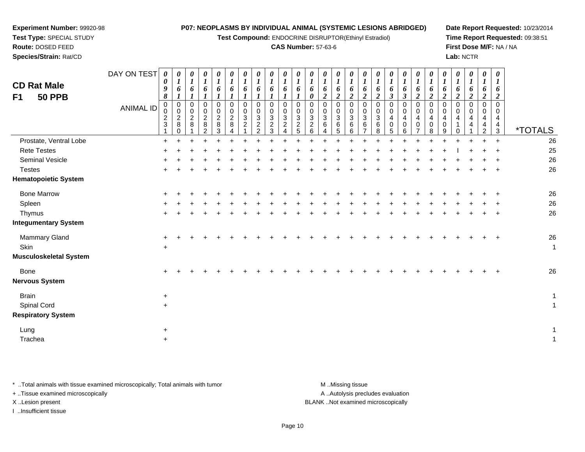**Test Compound:** ENDOCRINE DISRUPTOR(Ethinyl Estradiol)

#### **CAS Number:** 57-63-6

**Date Report Requested:** 10/23/2014**Time Report Requested:** 09:38:51**First Dose M/F:** NA / NA**Lab:** NCTR

| Species/Strain: Rat/CD                                |             |                            |                                       |                           |                                 |                                             |                       |             |                     |                       |               |                    |                                               |                       |                       |                       |                       |                       |        |                  |                                           |                       |                       | Lab: NCTR |          |                       |                                            |                       |
|-------------------------------------------------------|-------------|----------------------------|---------------------------------------|---------------------------|---------------------------------|---------------------------------------------|-----------------------|-------------|---------------------|-----------------------|---------------|--------------------|-----------------------------------------------|-----------------------|-----------------------|-----------------------|-----------------------|-----------------------|--------|------------------|-------------------------------------------|-----------------------|-----------------------|-----------|----------|-----------------------|--------------------------------------------|-----------------------|
|                                                       | DAY ON TEST | $\boldsymbol{\theta}$<br>0 | $\boldsymbol{\theta}$<br>$\mathbf{I}$ | $\boldsymbol{\theta}$     | $\boldsymbol{\theta}$           | $\boldsymbol{\theta}$                       | $\boldsymbol{U}$      | $\theta$    | $\theta$            | $\boldsymbol{\theta}$ |               | $\theta$           | $\boldsymbol{\theta}$                         | $\boldsymbol{\theta}$ | $\boldsymbol{\theta}$ | $\boldsymbol{\theta}$ | $\boldsymbol{\theta}$ | $\boldsymbol{\theta}$ | U      | $\theta$         | $\boldsymbol{\theta}$                     | $\boldsymbol{\theta}$ | $\boldsymbol{\theta}$ | $\theta$  | $\theta$ | $\boldsymbol{\theta}$ | $\boldsymbol{\theta}$                      |                       |
| <b>CD Rat Male</b><br><b>50 PPB</b><br>F <sub>1</sub> |             | 9<br>8                     | $\bm{o}$                              | $\bm{o}$                  | 6                               | $\bm{o}$                                    |                       |             | o                   |                       |               |                    | 0                                             | $\bm{o}$              |                       |                       |                       | ◢                     | o<br>J | $\bm{o}$<br>J    | $\bm{o}$<br>$\overline{2}$                | 0<br>$\epsilon$       |                       |           | ◢        | o<br>◢                | O                                          |                       |
|                                                       | ANIMAL ID   | 0<br>$\frac{2}{3}$         | 0<br>0<br>$\frac{2}{8}$               | 0<br>0<br>$\sqrt{2}$<br>8 | 0<br>$\pmb{0}$<br>$\frac{2}{8}$ | 0<br>$\pmb{0}$<br>$\overline{2}$<br>$\bf 8$ | $\boldsymbol{2}$<br>8 | 3<br>$\sim$ | 3<br>$\overline{c}$ | 3<br>$\sim$           | 3<br>$\Omega$ | 0<br>3<br>$\Omega$ | $\ensuremath{\mathsf{3}}$<br>$\boldsymbol{2}$ | 3<br>6                | 3                     | 3<br>6                | 3<br>6                | 0<br>0<br>3<br>6      | 4      | 0<br>0<br>4<br>0 | 0<br>$\boldsymbol{0}$<br>4<br>$\mathbf 0$ | 0<br>4<br>0           |                       |           | 4        | 0<br>0<br>4<br>4      | 0<br>0<br>$\overline{4}$<br>$\overline{4}$ |                       |
|                                                       |             |                            |                                       |                           |                                 |                                             |                       |             | $\sim$              |                       |               |                    |                                               |                       |                       |                       |                       |                       |        | 6                |                                           | 8                     |                       |           |          | 2                     | 3                                          | <i><b>*TOTALS</b></i> |
| Prostate, Ventral Lobe                                |             |                            |                                       |                           |                                 |                                             |                       |             |                     |                       |               |                    |                                               |                       |                       |                       |                       |                       |        |                  |                                           |                       |                       |           |          |                       | $\div$                                     | 26                    |
| <b>Rete Testes</b>                                    |             |                            |                                       |                           |                                 |                                             |                       |             |                     |                       |               |                    |                                               |                       |                       |                       |                       |                       |        |                  |                                           |                       |                       |           |          |                       |                                            | 25                    |
| Seminal Vesicle                                       |             |                            |                                       |                           |                                 |                                             |                       |             |                     |                       |               |                    |                                               |                       |                       |                       |                       |                       |        |                  |                                           |                       |                       |           |          |                       |                                            | 26                    |
| <b>Testes</b>                                         |             |                            |                                       |                           |                                 |                                             |                       |             |                     |                       |               |                    |                                               |                       |                       |                       |                       |                       |        |                  |                                           |                       |                       |           |          |                       | $\div$                                     | 26                    |
| <b>Hematopoietic System</b>                           |             |                            |                                       |                           |                                 |                                             |                       |             |                     |                       |               |                    |                                               |                       |                       |                       |                       |                       |        |                  |                                           |                       |                       |           |          |                       |                                            |                       |
| <b>Bone Marrow</b>                                    |             |                            |                                       |                           |                                 |                                             |                       |             |                     |                       |               |                    |                                               |                       |                       |                       |                       |                       |        |                  |                                           |                       |                       |           |          |                       |                                            | 26                    |
| $\sim$ $\sim$                                         |             |                            |                                       |                           |                                 |                                             |                       |             |                     |                       |               |                    |                                               |                       |                       |                       |                       |                       |        |                  |                                           |                       |                       |           |          |                       |                                            | $\sim$                |

| Spleen<br>Thymus<br><b>Integumentary System</b>                 | $+$<br>$+$       | $+$<br>$\ddot{}$ | $+$<br>$\pm$ | $\div$ |  | ÷ |  |  | ÷. | ÷ | ÷ | ÷ | $\div$ |  | ÷ | ÷.<br>$\overline{ }$ | $+$<br>$+$ | $+$<br>$+$ | 26<br>26             |
|-----------------------------------------------------------------|------------------|------------------|--------------|--------|--|---|--|--|----|---|---|---|--------|--|---|----------------------|------------|------------|----------------------|
| <b>Mammary Gland</b><br>Skin<br><b>Musculoskeletal System</b>   | $+$<br>$+$       |                  |              |        |  |   |  |  |    |   |   |   |        |  |   |                      | $+$        | $+$        | 26<br>$\overline{A}$ |
| Bone<br><b>Nervous System</b>                                   | $+$              |                  |              |        |  |   |  |  |    |   |   |   |        |  |   |                      | $+$        | $+$        | 26                   |
| <b>Brain</b><br><b>Spinal Cord</b><br><b>Respiratory System</b> | $\ddot{}$<br>$+$ |                  |              |        |  |   |  |  |    |   |   |   |        |  |   |                      |            |            | -4                   |
| Lung<br>Trachea                                                 | $+$<br>$+$       |                  |              |        |  |   |  |  |    |   |   |   |        |  |   |                      |            |            | -1                   |

\* ..Total animals with tissue examined microscopically; Total animals with tumor **M** ...Missing tissue M ...Missing tissue

+ ..Tissue examined microscopically

**Experiment Number:** 99920-98**Test Type:** SPECIAL STUDY**Route:** DOSED FEED

I ..Insufficient tissue

A ..Autolysis precludes evaluation

X ..Lesion present BLANK ..Not examined microscopically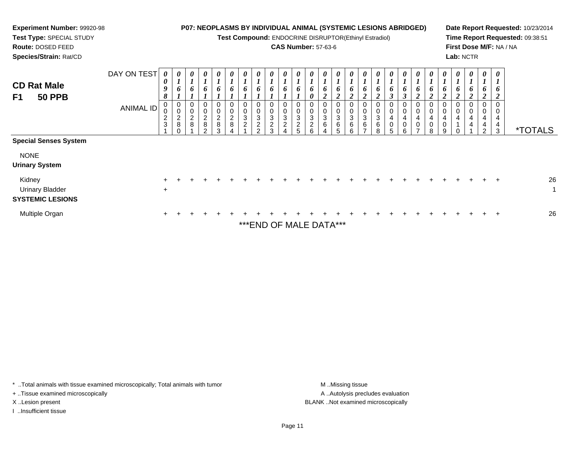| <b>Experiment Number: 99920-98</b><br>Test Type: SPECIAL STUDY<br>Route: DOSED FEED<br>Species/Strain: Rat/CD                       |                                 |                                 |                                              |                                                   |                                                     |                                                                       |                    |                                                        |                                        |             |                                   |        | <b>CAS Number: 57-63-6</b>           |                  | <b>P07: NEOPLASMS BY INDIVIDUAL ANIMAL (SYSTEMIC LESIONS ABRIDGED)</b><br>Test Compound: ENDOCRINE DISRUPTOR(Ethinyl Estradiol) |                                      |   |   |                         |   |   | Lab: NCTR |             |                    |                  | Date Report Requested: 10/23/2014<br>Time Report Requested: 09:38:51<br>First Dose M/F: NA / NA |
|-------------------------------------------------------------------------------------------------------------------------------------|---------------------------------|---------------------------------|----------------------------------------------|---------------------------------------------------|-----------------------------------------------------|-----------------------------------------------------------------------|--------------------|--------------------------------------------------------|----------------------------------------|-------------|-----------------------------------|--------|--------------------------------------|------------------|---------------------------------------------------------------------------------------------------------------------------------|--------------------------------------|---|---|-------------------------|---|---|-----------|-------------|--------------------|------------------|-------------------------------------------------------------------------------------------------|
| <b>CD Rat Male</b><br><b>50 PPB</b><br>F <sub>1</sub>                                                                               | DAY ON TEST<br><b>ANIMAL ID</b> | $\boldsymbol{\theta}$<br>0<br>2 | $\boldsymbol{\theta}$<br>$\overline{c}$<br>8 | $\boldsymbol{\theta}$<br>0<br>$\overline{c}$<br>8 | $\boldsymbol{\theta}$<br>0<br>$\boldsymbol{2}$<br>8 | $\boldsymbol{\theta}$<br>o<br>$\mathbf 0$<br>$\overline{c}$<br>8<br>3 | U<br>$\Omega$<br>3 | $\theta$<br>0<br>3<br>$\overline{c}$<br>$\mathfrak{p}$ | $\boldsymbol{\theta}$<br>$\Omega$<br>3 | 0<br>0<br>3 | 3<br>$\overline{\mathbf{c}}$<br>5 | 3<br>6 | $\boldsymbol{\theta}$<br>0<br>3<br>6 | 0<br>0<br>3<br>6 | $\theta$<br>6<br>0<br>3<br>6<br>6                                                                                               | $\boldsymbol{\theta}$<br>0<br>3<br>6 | я | 0 | $\theta$<br>0<br>0<br>6 | 8 | 9 |           | 0<br>4<br>4 | $\theta$<br>4<br>2 | 0<br>0<br>4<br>3 | <i><b>*TOTALS</b></i>                                                                           |
| <b>Special Senses System</b><br><b>NONE</b><br><b>Urinary System</b><br>Kidney<br><b>Urinary Bladder</b><br><b>SYSTEMIC LESIONS</b> |                                 | $\ddot{}$                       |                                              |                                                   |                                                     |                                                                       |                    |                                                        |                                        |             |                                   |        |                                      |                  |                                                                                                                                 |                                      |   |   |                         |   |   |           |             |                    |                  | 26                                                                                              |
| Multiple Organ                                                                                                                      |                                 |                                 |                                              |                                                   |                                                     |                                                                       |                    |                                                        |                                        |             |                                   |        |                                      |                  |                                                                                                                                 |                                      |   |   |                         |   |   |           |             |                    |                  | 26                                                                                              |

\*\*\*END OF MALE DATA\*\*\*

\* ..Total animals with tissue examined microscopically; Total animals with tumor M..Missing tissue M ..Missing tissue

+ ..Tissue examined microscopically

I ..Insufficient tissue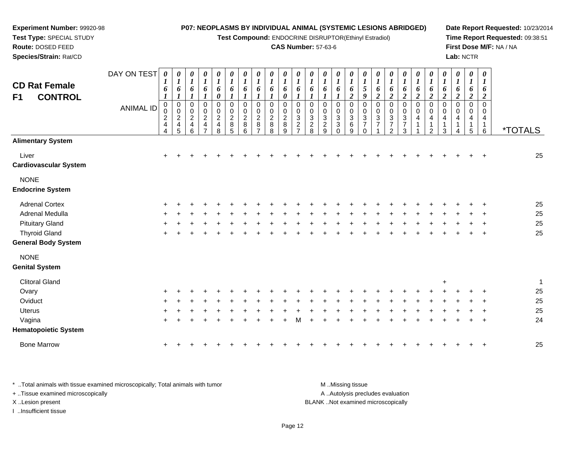**Test Compound:** ENDOCRINE DISRUPTOR(Ethinyl Estradiol)

#### **CAS Number:** 57-63-6

**Date Report Requested:** 10/23/2014**Time Report Requested:** 09:38:51**First Dose M/F:** NA / NA**Lab:** NCTR

| <b>CD Rat Female</b><br><b>CONTROL</b><br>F1 | DAY ON TEST<br><b>ANIMAL ID</b> | $\boldsymbol{\theta}$<br>$\bm{l}$<br>6<br>$\boldsymbol{l}$<br>$\mathbf 0$<br>0<br>$\boldsymbol{2}$<br>$\overline{\mathbf{4}}$<br>4 | 0<br>$\boldsymbol{l}$<br>6<br>$\boldsymbol{l}$<br>$\begin{array}{c} 0 \\ 0 \\ 2 \\ 4 \end{array}$<br>5 | 0<br>$\boldsymbol{l}$<br>6<br>$\boldsymbol{l}$<br>0<br>$\mathbf 0$<br>$\sqrt{2}$<br>$\overline{\mathbf{4}}$<br>$\,6$ | 0<br>$\boldsymbol{l}$<br>6<br>$\boldsymbol{l}$<br>$\pmb{0}$<br>$\pmb{0}$<br>$\overline{2}$<br>$\overline{\mathbf{4}}$<br>$\overline{7}$ | $\boldsymbol{\theta}$<br>$\boldsymbol{l}$<br>6<br>$\boldsymbol{\theta}$<br>$\pmb{0}$<br>$\pmb{0}$<br>$\overline{c}$<br>$\overline{\mathbf{4}}$<br>8 | 0<br>$\boldsymbol{l}$<br>6<br>$\boldsymbol{l}$<br>$\pmb{0}$<br>$\pmb{0}$<br>$\overline{c}$<br>$\bf 8$<br>5 | $\boldsymbol{\theta}$<br>$\boldsymbol{l}$<br>6<br>$\boldsymbol{l}$<br>$\mathbf 0$<br>0<br>$\boldsymbol{2}$<br>8<br>6 | 0<br>$\boldsymbol{l}$<br>6<br>1<br>0<br>0<br>$\boldsymbol{2}$<br>8<br>$\overline{7}$ | $\boldsymbol{\theta}$<br>$\boldsymbol{l}$<br>6<br>$\boldsymbol{l}$<br>$\mathbf 0$<br>0<br>$\boldsymbol{2}$<br>8<br>8 | $\boldsymbol{\theta}$<br>$\boldsymbol{l}$<br>6<br>0<br>0<br>0<br>$\overline{c}$<br>$\bf 8$<br>9 | 0<br>$\boldsymbol{l}$<br>6<br>$\mathbf 0$<br>0<br>$\sqrt{3}$<br>$\sqrt{2}$<br>$\overline{7}$ | 0<br>$\boldsymbol{l}$<br>6<br>$\boldsymbol{l}$<br>$\mathbf 0$<br>0<br>$\sqrt{3}$<br>$\sqrt{2}$<br>8 | 0<br>$\boldsymbol{l}$<br>6<br>1<br>$\mathbf 0$<br>0<br>$\sqrt{3}$<br>$\sqrt{2}$<br>9 | 0<br>$\boldsymbol{l}$<br>6<br>$\mathbf 0$<br>0<br>3<br>$\ensuremath{\mathsf{3}}$<br>$\Omega$ | 0<br>$\boldsymbol{l}$<br>6<br>$\boldsymbol{2}$<br>$\mathbf 0$<br>0<br>$\ensuremath{\mathsf{3}}$<br>$\,6\,$<br>9 | 0<br>$\boldsymbol{l}$<br>5<br>9<br>$\mathbf 0$<br>$\pmb{0}$<br>$\ensuremath{\mathsf{3}}$<br>$\overline{7}$<br>$\Omega$ | 0<br>$\boldsymbol{l}$<br>6<br>$\boldsymbol{2}$<br>$\pmb{0}$<br>$\pmb{0}$<br>$\mathbf{3}$<br>$\overline{7}$ | 0<br>$\boldsymbol{l}$<br>6<br>$\boldsymbol{2}$<br>0<br>$\pmb{0}$<br>$\ensuremath{\mathsf{3}}$<br>$\overline{7}$<br>$\overline{a}$ | 0<br>$\boldsymbol{l}$<br>6<br>$\overline{c}$<br>0<br>$\pmb{0}$<br>$\ensuremath{\mathsf{3}}$<br>$\overline{7}$<br>$\mathbf{3}$ | 0<br>$\boldsymbol{l}$<br>6<br>$\boldsymbol{2}$<br>$\mathbf 0$<br>0<br>4<br>1 | 0<br>$\boldsymbol{l}$<br>6<br>$\boldsymbol{2}$<br>$\pmb{0}$<br>0<br>4<br>1<br>$\overline{2}$ | 0<br>$\boldsymbol{I}$<br>6<br>$\overline{2}$<br>$\mathbf 0$<br>0<br>4<br>1<br>3 | 0<br>$\boldsymbol{l}$<br>6<br>$\boldsymbol{2}$<br>0<br>0 | 0<br>$\boldsymbol{l}$<br>6<br>$\boldsymbol{2}$<br>$\mathbf 0$<br>$\Omega$<br>1<br>5 | $\boldsymbol{\theta}$<br>$\bm{l}$<br>6<br>$\overline{2}$<br>$\mathbf 0$<br>0<br>4<br>$\mathbf{1}$<br>$\,6$ | <i><b>*TOTALS</b></i> |
|----------------------------------------------|---------------------------------|------------------------------------------------------------------------------------------------------------------------------------|--------------------------------------------------------------------------------------------------------|----------------------------------------------------------------------------------------------------------------------|-----------------------------------------------------------------------------------------------------------------------------------------|-----------------------------------------------------------------------------------------------------------------------------------------------------|------------------------------------------------------------------------------------------------------------|----------------------------------------------------------------------------------------------------------------------|--------------------------------------------------------------------------------------|----------------------------------------------------------------------------------------------------------------------|-------------------------------------------------------------------------------------------------|----------------------------------------------------------------------------------------------|-----------------------------------------------------------------------------------------------------|--------------------------------------------------------------------------------------|----------------------------------------------------------------------------------------------|-----------------------------------------------------------------------------------------------------------------|------------------------------------------------------------------------------------------------------------------------|------------------------------------------------------------------------------------------------------------|-----------------------------------------------------------------------------------------------------------------------------------|-------------------------------------------------------------------------------------------------------------------------------|------------------------------------------------------------------------------|----------------------------------------------------------------------------------------------|---------------------------------------------------------------------------------|----------------------------------------------------------|-------------------------------------------------------------------------------------|------------------------------------------------------------------------------------------------------------|-----------------------|
| <b>Alimentary System</b>                     |                                 |                                                                                                                                    |                                                                                                        |                                                                                                                      |                                                                                                                                         |                                                                                                                                                     |                                                                                                            |                                                                                                                      |                                                                                      |                                                                                                                      |                                                                                                 |                                                                                              |                                                                                                     |                                                                                      |                                                                                              |                                                                                                                 |                                                                                                                        |                                                                                                            |                                                                                                                                   |                                                                                                                               |                                                                              |                                                                                              |                                                                                 |                                                          |                                                                                     |                                                                                                            |                       |
| Liver<br><b>Cardiovascular System</b>        |                                 | $\ddot{}$                                                                                                                          |                                                                                                        |                                                                                                                      |                                                                                                                                         |                                                                                                                                                     |                                                                                                            |                                                                                                                      |                                                                                      |                                                                                                                      |                                                                                                 |                                                                                              |                                                                                                     |                                                                                      |                                                                                              |                                                                                                                 |                                                                                                                        |                                                                                                            |                                                                                                                                   |                                                                                                                               |                                                                              |                                                                                              |                                                                                 |                                                          |                                                                                     |                                                                                                            | 25                    |
| <b>NONE</b><br><b>Endocrine System</b>       |                                 |                                                                                                                                    |                                                                                                        |                                                                                                                      |                                                                                                                                         |                                                                                                                                                     |                                                                                                            |                                                                                                                      |                                                                                      |                                                                                                                      |                                                                                                 |                                                                                              |                                                                                                     |                                                                                      |                                                                                              |                                                                                                                 |                                                                                                                        |                                                                                                            |                                                                                                                                   |                                                                                                                               |                                                                              |                                                                                              |                                                                                 |                                                          |                                                                                     |                                                                                                            |                       |
| <b>Adrenal Cortex</b>                        |                                 |                                                                                                                                    |                                                                                                        |                                                                                                                      |                                                                                                                                         |                                                                                                                                                     |                                                                                                            |                                                                                                                      |                                                                                      |                                                                                                                      |                                                                                                 |                                                                                              |                                                                                                     |                                                                                      |                                                                                              |                                                                                                                 |                                                                                                                        |                                                                                                            |                                                                                                                                   |                                                                                                                               |                                                                              |                                                                                              |                                                                                 |                                                          |                                                                                     |                                                                                                            | 25                    |
| Adrenal Medulla                              |                                 |                                                                                                                                    |                                                                                                        |                                                                                                                      |                                                                                                                                         |                                                                                                                                                     |                                                                                                            |                                                                                                                      |                                                                                      |                                                                                                                      |                                                                                                 |                                                                                              |                                                                                                     |                                                                                      |                                                                                              |                                                                                                                 |                                                                                                                        |                                                                                                            |                                                                                                                                   |                                                                                                                               |                                                                              |                                                                                              |                                                                                 |                                                          |                                                                                     |                                                                                                            | 25                    |
| <b>Pituitary Gland</b>                       |                                 |                                                                                                                                    |                                                                                                        |                                                                                                                      |                                                                                                                                         |                                                                                                                                                     |                                                                                                            |                                                                                                                      |                                                                                      |                                                                                                                      |                                                                                                 |                                                                                              |                                                                                                     |                                                                                      |                                                                                              |                                                                                                                 |                                                                                                                        |                                                                                                            |                                                                                                                                   |                                                                                                                               |                                                                              |                                                                                              |                                                                                 |                                                          |                                                                                     |                                                                                                            | 25                    |
| <b>Thyroid Gland</b>                         |                                 |                                                                                                                                    |                                                                                                        |                                                                                                                      |                                                                                                                                         |                                                                                                                                                     |                                                                                                            |                                                                                                                      |                                                                                      |                                                                                                                      |                                                                                                 |                                                                                              |                                                                                                     |                                                                                      |                                                                                              |                                                                                                                 |                                                                                                                        |                                                                                                            |                                                                                                                                   |                                                                                                                               |                                                                              |                                                                                              |                                                                                 |                                                          |                                                                                     |                                                                                                            | 25                    |
| <b>General Body System</b>                   |                                 |                                                                                                                                    |                                                                                                        |                                                                                                                      |                                                                                                                                         |                                                                                                                                                     |                                                                                                            |                                                                                                                      |                                                                                      |                                                                                                                      |                                                                                                 |                                                                                              |                                                                                                     |                                                                                      |                                                                                              |                                                                                                                 |                                                                                                                        |                                                                                                            |                                                                                                                                   |                                                                                                                               |                                                                              |                                                                                              |                                                                                 |                                                          |                                                                                     |                                                                                                            |                       |
| <b>NONE</b>                                  |                                 |                                                                                                                                    |                                                                                                        |                                                                                                                      |                                                                                                                                         |                                                                                                                                                     |                                                                                                            |                                                                                                                      |                                                                                      |                                                                                                                      |                                                                                                 |                                                                                              |                                                                                                     |                                                                                      |                                                                                              |                                                                                                                 |                                                                                                                        |                                                                                                            |                                                                                                                                   |                                                                                                                               |                                                                              |                                                                                              |                                                                                 |                                                          |                                                                                     |                                                                                                            |                       |
| <b>Genital System</b>                        |                                 |                                                                                                                                    |                                                                                                        |                                                                                                                      |                                                                                                                                         |                                                                                                                                                     |                                                                                                            |                                                                                                                      |                                                                                      |                                                                                                                      |                                                                                                 |                                                                                              |                                                                                                     |                                                                                      |                                                                                              |                                                                                                                 |                                                                                                                        |                                                                                                            |                                                                                                                                   |                                                                                                                               |                                                                              |                                                                                              |                                                                                 |                                                          |                                                                                     |                                                                                                            |                       |
| <b>Clitoral Gland</b>                        |                                 |                                                                                                                                    |                                                                                                        |                                                                                                                      |                                                                                                                                         |                                                                                                                                                     |                                                                                                            |                                                                                                                      |                                                                                      |                                                                                                                      |                                                                                                 |                                                                                              |                                                                                                     |                                                                                      |                                                                                              |                                                                                                                 |                                                                                                                        |                                                                                                            |                                                                                                                                   |                                                                                                                               |                                                                              |                                                                                              | $\ddot{}$                                                                       |                                                          |                                                                                     |                                                                                                            | $\mathbf{1}$          |
| Ovary                                        |                                 |                                                                                                                                    |                                                                                                        |                                                                                                                      |                                                                                                                                         |                                                                                                                                                     |                                                                                                            |                                                                                                                      |                                                                                      |                                                                                                                      |                                                                                                 |                                                                                              |                                                                                                     |                                                                                      |                                                                                              |                                                                                                                 |                                                                                                                        |                                                                                                            |                                                                                                                                   |                                                                                                                               |                                                                              |                                                                                              |                                                                                 |                                                          |                                                                                     |                                                                                                            | 25                    |
| Oviduct                                      |                                 |                                                                                                                                    |                                                                                                        |                                                                                                                      |                                                                                                                                         |                                                                                                                                                     |                                                                                                            |                                                                                                                      |                                                                                      |                                                                                                                      |                                                                                                 |                                                                                              |                                                                                                     |                                                                                      |                                                                                              |                                                                                                                 |                                                                                                                        |                                                                                                            |                                                                                                                                   |                                                                                                                               |                                                                              |                                                                                              |                                                                                 |                                                          |                                                                                     |                                                                                                            | 25                    |
| <b>Uterus</b>                                |                                 |                                                                                                                                    |                                                                                                        |                                                                                                                      |                                                                                                                                         |                                                                                                                                                     |                                                                                                            |                                                                                                                      |                                                                                      |                                                                                                                      |                                                                                                 |                                                                                              |                                                                                                     |                                                                                      |                                                                                              |                                                                                                                 |                                                                                                                        |                                                                                                            |                                                                                                                                   |                                                                                                                               |                                                                              |                                                                                              |                                                                                 |                                                          |                                                                                     |                                                                                                            | 25                    |
| Vagina                                       |                                 |                                                                                                                                    |                                                                                                        |                                                                                                                      |                                                                                                                                         |                                                                                                                                                     |                                                                                                            |                                                                                                                      |                                                                                      |                                                                                                                      |                                                                                                 |                                                                                              |                                                                                                     |                                                                                      |                                                                                              |                                                                                                                 |                                                                                                                        |                                                                                                            |                                                                                                                                   |                                                                                                                               |                                                                              |                                                                                              |                                                                                 |                                                          |                                                                                     |                                                                                                            | 24                    |
| <b>Hematopoietic System</b>                  |                                 |                                                                                                                                    |                                                                                                        |                                                                                                                      |                                                                                                                                         |                                                                                                                                                     |                                                                                                            |                                                                                                                      |                                                                                      |                                                                                                                      |                                                                                                 |                                                                                              |                                                                                                     |                                                                                      |                                                                                              |                                                                                                                 |                                                                                                                        |                                                                                                            |                                                                                                                                   |                                                                                                                               |                                                                              |                                                                                              |                                                                                 |                                                          |                                                                                     |                                                                                                            |                       |
| <b>Bone Marrow</b>                           |                                 | +                                                                                                                                  |                                                                                                        |                                                                                                                      |                                                                                                                                         |                                                                                                                                                     |                                                                                                            |                                                                                                                      |                                                                                      |                                                                                                                      |                                                                                                 |                                                                                              |                                                                                                     |                                                                                      |                                                                                              |                                                                                                                 |                                                                                                                        |                                                                                                            |                                                                                                                                   |                                                                                                                               |                                                                              |                                                                                              |                                                                                 |                                                          |                                                                                     |                                                                                                            | 25                    |
|                                              |                                 |                                                                                                                                    |                                                                                                        |                                                                                                                      |                                                                                                                                         |                                                                                                                                                     |                                                                                                            |                                                                                                                      |                                                                                      |                                                                                                                      |                                                                                                 |                                                                                              |                                                                                                     |                                                                                      |                                                                                              |                                                                                                                 |                                                                                                                        |                                                                                                            |                                                                                                                                   |                                                                                                                               |                                                                              |                                                                                              |                                                                                 |                                                          |                                                                                     |                                                                                                            |                       |

\* ..Total animals with tissue examined microscopically; Total animals with tumor **M** . Missing tissue M ..Missing tissue A ..Autolysis precludes evaluation + ..Tissue examined microscopically X ..Lesion present BLANK ..Not examined microscopicallyI ..Insufficient tissue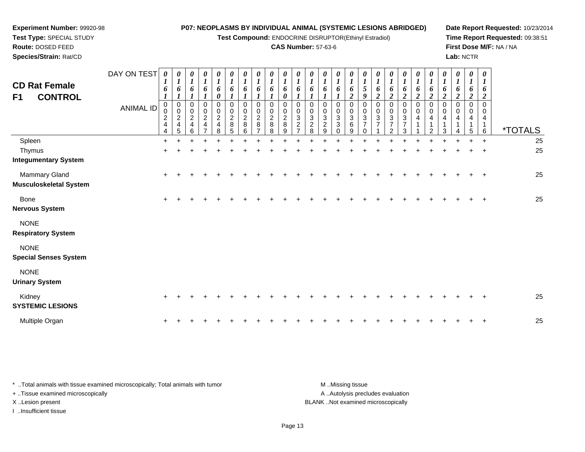**Test Compound:** ENDOCRINE DISRUPTOR(Ethinyl Estradiol)

#### **CAS Number:** 57-63-6

**Date Report Requested:** 10/23/2014**Time Report Requested:** 09:38:51**First Dose M/F:** NA / NA**Lab:** NCTR

| <b>CD Rat Female</b><br>F1<br><b>CONTROL</b>    | DAY ON TEST<br><b>ANIMAL ID</b> | 1<br>6<br>1<br>$\mathbf 0$<br>$\boldsymbol{2}$<br>4<br>4 | 0<br>$\boldsymbol{l}$<br>6<br>1<br>0<br>$\pmb{0}$<br>$\boldsymbol{2}$<br>4<br>5 | 0<br>$\boldsymbol{l}$<br>6<br>0<br>$\pmb{0}$<br>$\overline{c}$<br>$\overline{\mathbf{4}}$<br>6 | 0<br>$\boldsymbol{l}$<br>6<br>$\boldsymbol{l}$<br>0<br>$\pmb{0}$<br>$\sqrt{2}$<br>4<br>$\overline{ }$ | 0<br>$\boldsymbol{l}$<br>6<br>$\boldsymbol{\theta}$<br>0<br>$\,0\,$<br>$\overline{c}$<br>4<br>8 | 0<br>$\boldsymbol{l}$<br>6<br>$\boldsymbol{l}$<br>0<br>$\pmb{0}$<br>$\boldsymbol{2}$<br>$\bf 8$<br>5 | 0<br>$\boldsymbol{l}$<br>6<br>0<br>0<br>$\overline{2}$<br>8<br>6 | 0<br>$\boldsymbol{l}$<br>6<br>1<br>0<br>$\mathbf 0$<br>$\overline{c}$<br>8 | 0<br>1<br>6<br>$\boldsymbol{l}$<br>$\Omega$<br>0<br>$\overline{c}$<br>8<br>8 | 0<br>6<br>0<br>0<br>0<br>$\overline{c}$<br>8<br>9 | 0<br>6<br>0<br>$\pmb{0}$<br>3<br>$\overline{2}$ | 0<br>$\boldsymbol{l}$<br>6<br>1<br>0<br>$\pmb{0}$<br>$\sqrt{3}$<br>$\boldsymbol{2}$<br>8 | 0<br>$\boldsymbol{l}$<br>6<br>1<br>0<br>$\,0\,$<br>$\sqrt{3}$<br>$\overline{c}$<br>9 | 0<br>$\boldsymbol{l}$<br>6<br>0<br>$\,0\,$<br>$\ensuremath{\mathsf{3}}$<br>3<br>$\Omega$ | 0<br>$\boldsymbol{l}$<br>6<br>$\boldsymbol{2}$<br>0<br>0<br>3<br>6<br>9 | 0<br>$\boldsymbol{l}$<br>$\mathfrak{s}$<br>9<br>0<br>$\pmb{0}$<br>$\sqrt{3}$<br>$\overline{7}$<br>0 | $\boldsymbol{\theta}$<br>1<br>6<br>$\boldsymbol{2}$<br>0<br>0<br>$\mathbf{3}$<br>7 | 0<br>$\boldsymbol{l}$<br>6<br>$\boldsymbol{2}$<br>0<br>$\pmb{0}$<br>$\ensuremath{\mathsf{3}}$<br>$\overline{7}$<br>2 | 0<br>$\boldsymbol{l}$<br>6<br>$\overline{2}$<br>0<br>$\pmb{0}$<br>$\ensuremath{\mathsf{3}}$<br>7<br>3 | 0<br>$\boldsymbol{l}$<br>6<br>$\overline{2}$<br>0<br>$\pmb{0}$<br>4 | 0<br>$\boldsymbol{l}$<br>6<br>$\boldsymbol{2}$<br>$\mathbf 0$<br>$\pmb{0}$<br>4<br>-1<br>2 | 0<br>$\boldsymbol{l}$<br>6<br>$\boldsymbol{2}$<br>0<br>0<br>4<br>3 | 0<br>$\boldsymbol{l}$<br>6<br>$\overline{2}$<br>0<br>0<br>4<br>1 | 0<br>$\boldsymbol{l}$<br>6<br>$\boldsymbol{2}$<br>0<br>0<br>4<br>-1<br>5 | $\boldsymbol{\theta}$<br>1<br>6<br>$\overline{2}$<br>$\Omega$<br>0<br>4<br>1<br>6 | <i><b>*TOTALS</b></i> |
|-------------------------------------------------|---------------------------------|----------------------------------------------------------|---------------------------------------------------------------------------------|------------------------------------------------------------------------------------------------|-------------------------------------------------------------------------------------------------------|-------------------------------------------------------------------------------------------------|------------------------------------------------------------------------------------------------------|------------------------------------------------------------------|----------------------------------------------------------------------------|------------------------------------------------------------------------------|---------------------------------------------------|-------------------------------------------------|------------------------------------------------------------------------------------------|--------------------------------------------------------------------------------------|------------------------------------------------------------------------------------------|-------------------------------------------------------------------------|-----------------------------------------------------------------------------------------------------|------------------------------------------------------------------------------------|----------------------------------------------------------------------------------------------------------------------|-------------------------------------------------------------------------------------------------------|---------------------------------------------------------------------|--------------------------------------------------------------------------------------------|--------------------------------------------------------------------|------------------------------------------------------------------|--------------------------------------------------------------------------|-----------------------------------------------------------------------------------|-----------------------|
| Spleen<br>Thymus<br><b>Integumentary System</b> |                                 | +                                                        |                                                                                 |                                                                                                |                                                                                                       |                                                                                                 |                                                                                                      |                                                                  |                                                                            |                                                                              |                                                   |                                                 |                                                                                          |                                                                                      |                                                                                          |                                                                         |                                                                                                     |                                                                                    |                                                                                                                      |                                                                                                       |                                                                     |                                                                                            |                                                                    |                                                                  |                                                                          | $\ddot{}$                                                                         | 25<br>25              |
| Mammary Gland<br>Musculoskeletal System         |                                 | $\ddot{}$                                                |                                                                                 |                                                                                                |                                                                                                       |                                                                                                 |                                                                                                      |                                                                  |                                                                            |                                                                              |                                                   |                                                 |                                                                                          |                                                                                      |                                                                                          |                                                                         |                                                                                                     |                                                                                    |                                                                                                                      |                                                                                                       |                                                                     |                                                                                            |                                                                    |                                                                  |                                                                          | $\mathbf +$                                                                       | 25                    |
| <b>Bone</b><br>Nervous System                   |                                 | $+$                                                      |                                                                                 |                                                                                                |                                                                                                       |                                                                                                 |                                                                                                      |                                                                  |                                                                            |                                                                              |                                                   |                                                 |                                                                                          |                                                                                      |                                                                                          |                                                                         |                                                                                                     |                                                                                    |                                                                                                                      |                                                                                                       |                                                                     |                                                                                            |                                                                    |                                                                  |                                                                          | $\ddot{}$                                                                         | 25                    |
| <b>NONE</b><br><b>Respiratory System</b>        |                                 |                                                          |                                                                                 |                                                                                                |                                                                                                       |                                                                                                 |                                                                                                      |                                                                  |                                                                            |                                                                              |                                                   |                                                 |                                                                                          |                                                                                      |                                                                                          |                                                                         |                                                                                                     |                                                                                    |                                                                                                                      |                                                                                                       |                                                                     |                                                                                            |                                                                    |                                                                  |                                                                          |                                                                                   |                       |
| <b>NONE</b><br><b>Special Senses System</b>     |                                 |                                                          |                                                                                 |                                                                                                |                                                                                                       |                                                                                                 |                                                                                                      |                                                                  |                                                                            |                                                                              |                                                   |                                                 |                                                                                          |                                                                                      |                                                                                          |                                                                         |                                                                                                     |                                                                                    |                                                                                                                      |                                                                                                       |                                                                     |                                                                                            |                                                                    |                                                                  |                                                                          |                                                                                   |                       |
| <b>NONE</b><br><b>Urinary System</b>            |                                 |                                                          |                                                                                 |                                                                                                |                                                                                                       |                                                                                                 |                                                                                                      |                                                                  |                                                                            |                                                                              |                                                   |                                                 |                                                                                          |                                                                                      |                                                                                          |                                                                         |                                                                                                     |                                                                                    |                                                                                                                      |                                                                                                       |                                                                     |                                                                                            |                                                                    |                                                                  |                                                                          |                                                                                   |                       |
| Kidney<br><b>SYSTEMIC LESIONS</b>               |                                 | +                                                        |                                                                                 |                                                                                                |                                                                                                       |                                                                                                 |                                                                                                      |                                                                  |                                                                            |                                                                              |                                                   |                                                 |                                                                                          |                                                                                      |                                                                                          |                                                                         |                                                                                                     |                                                                                    |                                                                                                                      |                                                                                                       |                                                                     |                                                                                            |                                                                    |                                                                  |                                                                          |                                                                                   | 25                    |
| Multiple Organ                                  |                                 | $\ddot{}$                                                |                                                                                 |                                                                                                |                                                                                                       |                                                                                                 |                                                                                                      |                                                                  |                                                                            |                                                                              |                                                   |                                                 |                                                                                          |                                                                                      |                                                                                          |                                                                         |                                                                                                     |                                                                                    |                                                                                                                      |                                                                                                       |                                                                     |                                                                                            |                                                                    |                                                                  |                                                                          |                                                                                   | 25                    |

\* ..Total animals with tissue examined microscopically; Total animals with tumor **M** . Missing tissue M ..Missing tissue A ..Autolysis precludes evaluation + ..Tissue examined microscopically X ..Lesion present BLANK ..Not examined microscopicallyI ..Insufficient tissue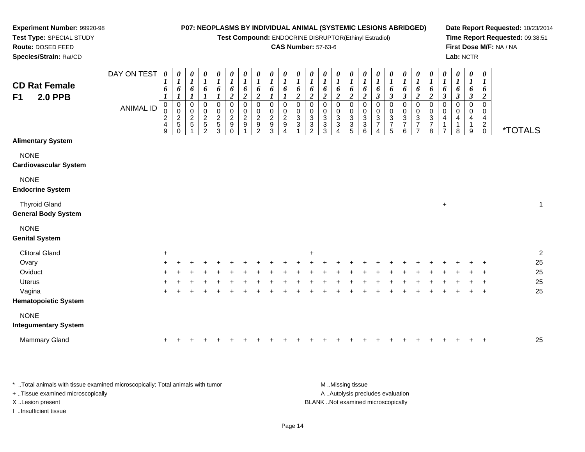**Test Compound:** ENDOCRINE DISRUPTOR(Ethinyl Estradiol)

#### **CAS Number:** 57-63-6

**Date Report Requested:** 10/23/2014**Time Report Requested:** 09:38:51**First Dose M/F:** NA / NA**Lab:** NCTR

| F <sub>1</sub> | <b>CD Rat Female</b><br><b>2.0 PPB</b>             | DAY ON TEST<br><b>ANIMAL ID</b> | $\boldsymbol{\theta}$<br>$\boldsymbol{l}$<br>6<br>$\boldsymbol{0}$<br>0<br>$\overline{c}$<br>$\overline{4}$<br>9 | 0<br>1<br>6<br>$\boldsymbol{l}$<br>$\,0\,$<br>$\mathbf 0$<br>$\overline{c}$<br>5<br>$\Omega$ | 0<br>$\boldsymbol{l}$<br>6<br>0<br>$\,0\,$<br>$\boldsymbol{2}$<br>$\sqrt{5}$ | $\boldsymbol{\theta}$<br>$\boldsymbol{l}$<br>6<br>0<br>0<br>$\frac{2}{5}$ | $\pmb{\theta}$<br>$\boldsymbol{l}$<br>6<br>0<br>$\pmb{0}$<br>$rac{2}{3}$ | $\pmb{\theta}$<br>$\boldsymbol{l}$<br>6<br>$\boldsymbol{2}$<br>0<br>$\pmb{0}$<br>$\overline{c}$<br>$\boldsymbol{9}$<br>$\Omega$ | $\pmb{\theta}$<br>$\boldsymbol{l}$<br>6<br>$\boldsymbol{2}$<br>$\,0\,$<br>$\pmb{0}$<br>$\overline{c}$<br>$\boldsymbol{9}$ | $\boldsymbol{\theta}$<br>$\boldsymbol{l}$<br>6<br>$\boldsymbol{2}$<br>0<br>0<br>$\boldsymbol{2}$<br>$\mathsf g$<br>$\overline{2}$ | $\pmb{\theta}$<br>$\boldsymbol{l}$<br>6<br>0<br>0<br>$\overline{c}$<br>9<br>3 | $\pmb{\theta}$<br>$\boldsymbol{l}$<br>6<br>$\mathbf 0$<br>0<br>$\sqrt{2}$<br>$\boldsymbol{9}$<br>$\Delta$ | $\pmb{\theta}$<br>$\boldsymbol{l}$<br>6<br>$\overline{c}$<br>0<br>0<br>3<br>3 | $\pmb{\theta}$<br>1<br>6<br>$\overline{\mathbf{c}}$<br>0<br>$\pmb{0}$<br>$\sqrt{3}$<br>$\frac{3}{2}$ | $\boldsymbol{\theta}$<br>$\boldsymbol{l}$<br>6<br>$\boldsymbol{2}$<br>0<br>$\mathbf 0$<br>$\sqrt{3}$<br>$\ensuremath{\mathsf{3}}$<br>3 | $\pmb{\theta}$<br>$\boldsymbol{l}$<br>6<br>$\boldsymbol{2}$<br>0<br>$\pmb{0}$<br>$\sqrt{3}$<br>$\ensuremath{\mathsf{3}}$<br>4 | 0<br>$\boldsymbol{l}$<br>6<br>$\boldsymbol{2}$<br>0<br>0<br>3<br>3<br>5 | $\pmb{\theta}$<br>$\boldsymbol{l}$<br>6<br>$\boldsymbol{2}$<br>0<br>0<br>$\ensuremath{\mathsf{3}}$<br>$\frac{3}{6}$ | $\boldsymbol{\theta}$<br>$\boldsymbol{l}$<br>6<br>$\boldsymbol{\beta}$<br>0<br>$\pmb{0}$<br>$\sqrt{3}$<br>$\overline{7}$<br>$\overline{\mathbf{4}}$ | $\pmb{\theta}$<br>$\boldsymbol{l}$<br>6<br>3<br>0<br>$\begin{array}{c} 0 \\ 3 \\ 7 \end{array}$<br>5 | $\boldsymbol{\theta}$<br>$\boldsymbol{l}$<br>6<br>$\boldsymbol{\beta}$<br>0<br>$\pmb{0}$<br>$\frac{3}{7}$<br>$6\phantom{a}$ | 0<br>$\boldsymbol{l}$<br>6<br>$\boldsymbol{2}$<br>$\pmb{0}$<br>$\pmb{0}$<br>$\ensuremath{\mathsf{3}}$<br>$\overline{7}$<br>$\overline{7}$ | $\pmb{\theta}$<br>$\boldsymbol{l}$<br>6<br>$\boldsymbol{2}$<br>0<br>$\boldsymbol{0}$<br>$\ensuremath{\mathsf{3}}$<br>$\overline{7}$<br>8 | 0<br>$\boldsymbol{l}$<br>6<br>$\boldsymbol{\beta}$<br>0<br>0<br>4<br>1<br>$\overline{7}$ | $\pmb{\theta}$<br>$\boldsymbol{l}$<br>6<br>$\boldsymbol{\beta}$<br>$\mathbf 0$<br>$\Omega$<br>4<br>$\mathbf{1}$<br>8 | $\pmb{\theta}$<br>$\boldsymbol{l}$<br>6<br>$\boldsymbol{\beta}$<br>$\mathbf 0$<br>0<br>4<br>1<br>9 | $\pmb{\theta}$<br>$\boldsymbol{l}$<br>6<br>$\boldsymbol{2}$<br>$\pmb{0}$<br>$\mathbf 0$<br>$\overline{4}$<br>$^2_{\rm 0}$ | <i><b>*TOTALS</b></i> |
|----------------|----------------------------------------------------|---------------------------------|------------------------------------------------------------------------------------------------------------------|----------------------------------------------------------------------------------------------|------------------------------------------------------------------------------|---------------------------------------------------------------------------|--------------------------------------------------------------------------|---------------------------------------------------------------------------------------------------------------------------------|---------------------------------------------------------------------------------------------------------------------------|-----------------------------------------------------------------------------------------------------------------------------------|-------------------------------------------------------------------------------|-----------------------------------------------------------------------------------------------------------|-------------------------------------------------------------------------------|------------------------------------------------------------------------------------------------------|----------------------------------------------------------------------------------------------------------------------------------------|-------------------------------------------------------------------------------------------------------------------------------|-------------------------------------------------------------------------|---------------------------------------------------------------------------------------------------------------------|-----------------------------------------------------------------------------------------------------------------------------------------------------|------------------------------------------------------------------------------------------------------|-----------------------------------------------------------------------------------------------------------------------------|-------------------------------------------------------------------------------------------------------------------------------------------|------------------------------------------------------------------------------------------------------------------------------------------|------------------------------------------------------------------------------------------|----------------------------------------------------------------------------------------------------------------------|----------------------------------------------------------------------------------------------------|---------------------------------------------------------------------------------------------------------------------------|-----------------------|
|                | <b>Alimentary System</b>                           |                                 |                                                                                                                  |                                                                                              |                                                                              |                                                                           |                                                                          |                                                                                                                                 |                                                                                                                           |                                                                                                                                   |                                                                               |                                                                                                           |                                                                               |                                                                                                      |                                                                                                                                        |                                                                                                                               |                                                                         |                                                                                                                     |                                                                                                                                                     |                                                                                                      |                                                                                                                             |                                                                                                                                           |                                                                                                                                          |                                                                                          |                                                                                                                      |                                                                                                    |                                                                                                                           |                       |
| <b>NONE</b>    | <b>Cardiovascular System</b>                       |                                 |                                                                                                                  |                                                                                              |                                                                              |                                                                           |                                                                          |                                                                                                                                 |                                                                                                                           |                                                                                                                                   |                                                                               |                                                                                                           |                                                                               |                                                                                                      |                                                                                                                                        |                                                                                                                               |                                                                         |                                                                                                                     |                                                                                                                                                     |                                                                                                      |                                                                                                                             |                                                                                                                                           |                                                                                                                                          |                                                                                          |                                                                                                                      |                                                                                                    |                                                                                                                           |                       |
| <b>NONE</b>    | <b>Endocrine System</b>                            |                                 |                                                                                                                  |                                                                                              |                                                                              |                                                                           |                                                                          |                                                                                                                                 |                                                                                                                           |                                                                                                                                   |                                                                               |                                                                                                           |                                                                               |                                                                                                      |                                                                                                                                        |                                                                                                                               |                                                                         |                                                                                                                     |                                                                                                                                                     |                                                                                                      |                                                                                                                             |                                                                                                                                           |                                                                                                                                          |                                                                                          |                                                                                                                      |                                                                                                    |                                                                                                                           |                       |
|                | <b>Thyroid Gland</b><br><b>General Body System</b> |                                 |                                                                                                                  |                                                                                              |                                                                              |                                                                           |                                                                          |                                                                                                                                 |                                                                                                                           |                                                                                                                                   |                                                                               |                                                                                                           |                                                                               |                                                                                                      |                                                                                                                                        |                                                                                                                               |                                                                         |                                                                                                                     |                                                                                                                                                     |                                                                                                      |                                                                                                                             |                                                                                                                                           |                                                                                                                                          | $\ddot{}$                                                                                |                                                                                                                      |                                                                                                    |                                                                                                                           | $\mathbf{1}$          |
| <b>NONE</b>    | <b>Genital System</b>                              |                                 |                                                                                                                  |                                                                                              |                                                                              |                                                                           |                                                                          |                                                                                                                                 |                                                                                                                           |                                                                                                                                   |                                                                               |                                                                                                           |                                                                               |                                                                                                      |                                                                                                                                        |                                                                                                                               |                                                                         |                                                                                                                     |                                                                                                                                                     |                                                                                                      |                                                                                                                             |                                                                                                                                           |                                                                                                                                          |                                                                                          |                                                                                                                      |                                                                                                    |                                                                                                                           |                       |
|                | <b>Clitoral Gland</b>                              |                                 | $\ddot{}$                                                                                                        |                                                                                              |                                                                              |                                                                           |                                                                          |                                                                                                                                 |                                                                                                                           |                                                                                                                                   |                                                                               |                                                                                                           |                                                                               | $\ddot{}$                                                                                            |                                                                                                                                        |                                                                                                                               |                                                                         |                                                                                                                     |                                                                                                                                                     |                                                                                                      |                                                                                                                             |                                                                                                                                           |                                                                                                                                          |                                                                                          |                                                                                                                      |                                                                                                    |                                                                                                                           | $\overline{2}$        |
| Ovary          |                                                    |                                 |                                                                                                                  |                                                                                              |                                                                              |                                                                           |                                                                          |                                                                                                                                 |                                                                                                                           |                                                                                                                                   |                                                                               |                                                                                                           |                                                                               |                                                                                                      |                                                                                                                                        |                                                                                                                               |                                                                         |                                                                                                                     |                                                                                                                                                     |                                                                                                      |                                                                                                                             |                                                                                                                                           |                                                                                                                                          |                                                                                          |                                                                                                                      |                                                                                                    |                                                                                                                           | 25                    |
|                | Oviduct                                            |                                 |                                                                                                                  |                                                                                              |                                                                              |                                                                           |                                                                          |                                                                                                                                 |                                                                                                                           |                                                                                                                                   |                                                                               |                                                                                                           |                                                                               |                                                                                                      |                                                                                                                                        |                                                                                                                               |                                                                         |                                                                                                                     |                                                                                                                                                     |                                                                                                      |                                                                                                                             |                                                                                                                                           |                                                                                                                                          |                                                                                          |                                                                                                                      |                                                                                                    |                                                                                                                           | 25                    |
| <b>Uterus</b>  |                                                    |                                 |                                                                                                                  |                                                                                              |                                                                              |                                                                           |                                                                          |                                                                                                                                 |                                                                                                                           |                                                                                                                                   |                                                                               |                                                                                                           |                                                                               |                                                                                                      |                                                                                                                                        |                                                                                                                               |                                                                         |                                                                                                                     |                                                                                                                                                     |                                                                                                      |                                                                                                                             |                                                                                                                                           |                                                                                                                                          |                                                                                          |                                                                                                                      |                                                                                                    |                                                                                                                           | 25                    |
|                | Vagina                                             |                                 |                                                                                                                  |                                                                                              |                                                                              |                                                                           |                                                                          |                                                                                                                                 |                                                                                                                           |                                                                                                                                   |                                                                               |                                                                                                           |                                                                               |                                                                                                      |                                                                                                                                        |                                                                                                                               |                                                                         |                                                                                                                     |                                                                                                                                                     |                                                                                                      |                                                                                                                             |                                                                                                                                           |                                                                                                                                          |                                                                                          |                                                                                                                      |                                                                                                    | $\ddot{}$                                                                                                                 | 25                    |
|                | <b>Hematopoietic System</b>                        |                                 |                                                                                                                  |                                                                                              |                                                                              |                                                                           |                                                                          |                                                                                                                                 |                                                                                                                           |                                                                                                                                   |                                                                               |                                                                                                           |                                                                               |                                                                                                      |                                                                                                                                        |                                                                                                                               |                                                                         |                                                                                                                     |                                                                                                                                                     |                                                                                                      |                                                                                                                             |                                                                                                                                           |                                                                                                                                          |                                                                                          |                                                                                                                      |                                                                                                    |                                                                                                                           |                       |
| <b>NONE</b>    |                                                    |                                 |                                                                                                                  |                                                                                              |                                                                              |                                                                           |                                                                          |                                                                                                                                 |                                                                                                                           |                                                                                                                                   |                                                                               |                                                                                                           |                                                                               |                                                                                                      |                                                                                                                                        |                                                                                                                               |                                                                         |                                                                                                                     |                                                                                                                                                     |                                                                                                      |                                                                                                                             |                                                                                                                                           |                                                                                                                                          |                                                                                          |                                                                                                                      |                                                                                                    |                                                                                                                           |                       |
|                | <b>Integumentary System</b>                        |                                 |                                                                                                                  |                                                                                              |                                                                              |                                                                           |                                                                          |                                                                                                                                 |                                                                                                                           |                                                                                                                                   |                                                                               |                                                                                                           |                                                                               |                                                                                                      |                                                                                                                                        |                                                                                                                               |                                                                         |                                                                                                                     |                                                                                                                                                     |                                                                                                      |                                                                                                                             |                                                                                                                                           |                                                                                                                                          |                                                                                          |                                                                                                                      |                                                                                                    |                                                                                                                           |                       |
|                | Mammary Gland                                      |                                 |                                                                                                                  |                                                                                              |                                                                              |                                                                           |                                                                          |                                                                                                                                 |                                                                                                                           |                                                                                                                                   |                                                                               |                                                                                                           |                                                                               |                                                                                                      |                                                                                                                                        |                                                                                                                               |                                                                         |                                                                                                                     |                                                                                                                                                     |                                                                                                      |                                                                                                                             |                                                                                                                                           |                                                                                                                                          |                                                                                          |                                                                                                                      |                                                                                                    | $\pm$                                                                                                                     | 25                    |

\* ..Total animals with tissue examined microscopically; Total animals with tumor **M** ...Missing tissue M ...Missing tissue A ..Autolysis precludes evaluation + ..Tissue examined microscopically X ..Lesion present BLANK ..Not examined microscopicallyI ..Insufficient tissue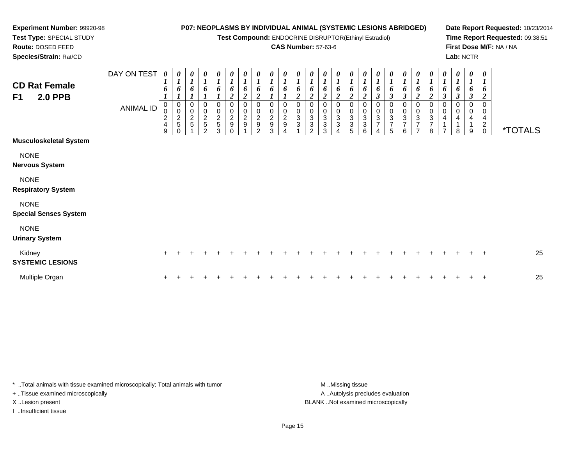**Test Compound:** ENDOCRINE DISRUPTOR(Ethinyl Estradiol)

#### **CAS Number:** 57-63-6

┯ ┯ ┯ ┯  $\overline{\phantom{a}}$ 

**Date Report Requested:** 10/23/2014**Time Report Requested:** 09:38:51**First Dose M/F:** NA / NA**Lab:** NCTR

**Test Type:** SPECIAL STUDY**Route:** DOSED FEED **Species/Strain:** Rat/CD $\Gamma$ <u> Tanzania de la pro</u> ┯ ┯ DAY ON TEST

**Experiment Number:** 99920-98

| <b>CD Rat Female</b><br><b>2.0 PPB</b><br>F1 | DAY ON TEST<br><b>ANIMAL ID</b> | 0<br>$\boldsymbol{l}$<br>6<br>0<br>$\pmb{0}$<br>$\frac{2}{4}$<br>9 | 0<br>$\boldsymbol{l}$<br>6<br>0<br>$\mathbf 0$<br>$\frac{2}{5}$<br>$\Omega$ | 0<br>$\boldsymbol{l}$<br>6<br>0<br>0<br>$\frac{2}{5}$ | 0<br>0<br>$\frac{2}{5}$<br>$\mathfrak{p}$ | 0<br>$\boldsymbol{l}$<br>6<br>0<br>$\pmb{0}$<br>$\frac{2}{5}$<br>3 | 0<br>$\boldsymbol{l}$<br>6<br>$\boldsymbol{2}$<br>0<br>$\mathbf 0$<br>$\frac{2}{9}$<br>$\Omega$ | 0<br>$\boldsymbol{l}$<br>6<br>$\overline{2}$<br>0<br>$\pmb{0}$<br>$\sqrt{2}$<br>$\boldsymbol{9}$ | 0<br>$\boldsymbol{l}$<br>6<br>$\boldsymbol{2}$<br>0<br>$\pmb{0}$<br>$\frac{2}{9}$<br>$\mathfrak{p}$ | 0<br>$\boldsymbol{l}$<br>6<br>0<br>0<br>$\sqrt{2}$<br>$\boldsymbol{9}$<br>3 | 0<br>$\mathbf{r}$<br>6<br>0<br>0<br>$\mathbf 2$<br>9<br>Δ | 0<br>$\boldsymbol{l}$<br>0<br>$\mathbf{3}$ | 0<br>$\boldsymbol{l}$<br>6<br>$\boldsymbol{2}$<br>0<br>$\pmb{0}$<br>$\sqrt{3}$<br>$\ensuremath{\mathsf{3}}$<br>$\mathcal{P}$ | 0<br>$\boldsymbol{l}$<br>6<br>$\overline{\mathbf{2}}$<br>0<br>0<br>3<br>3<br>3 | 0<br>$\boldsymbol{l}$<br>6<br>$\mathbf 0$<br>3<br>3<br>$\overline{A}$ | $\boldsymbol{\theta}$<br>$\boldsymbol{l}$<br>6<br>0<br>$\pmb{0}$<br>3<br>$\ensuremath{\mathsf{3}}$<br>5 | 0<br>$\boldsymbol{l}$<br>6<br>0<br>$\pmb{0}$<br>3<br>3<br>6 | 0<br>$\boldsymbol{l}$<br>6<br>$\boldsymbol{\beta}$<br>0<br>0<br>3<br>$\overline{ }$<br>4 | $\boldsymbol{\theta}$<br>$\boldsymbol{I}$<br>6<br>$\boldsymbol{\beta}$<br>0<br>0<br>$\sqrt{3}$<br>$\boldsymbol{7}$<br>5 | $\frac{\theta}{I}$<br>6<br>$\boldsymbol{\beta}$<br>0<br>$\begin{array}{c} 0 \\ 3 \\ 7 \end{array}$<br>6 | 0<br>$\boldsymbol{l}$<br>6<br>$\boldsymbol{2}$<br>0<br>$\begin{array}{c} 0 \\ 3 \\ 7 \end{array}$<br>$\overline{z}$ | 0<br>$\boldsymbol{l}$<br>6<br>$\boldsymbol{2}$<br>0<br>$\pmb{0}$<br>3<br>$\overline{7}$<br>8 | 0<br>$\boldsymbol{l}$<br>6<br>$\mathfrak{z}$<br>0<br>0<br>4<br>$\overline{ }$ | 0<br>$\boldsymbol{l}$<br>6<br>$\boldsymbol{\beta}$<br>$\mathbf 0$<br>4<br>8 | 0<br>$\boldsymbol{l}$<br>6<br>$\boldsymbol{\beta}$<br>0<br>9 | 0<br>$\boldsymbol{l}$<br>6<br>$\overline{2}$<br>$\mathbf 0$<br>0<br>$\overline{4}$<br>$\boldsymbol{2}$<br>$\mathbf 0$ | <i><b>*TOTALS</b></i> |
|----------------------------------------------|---------------------------------|--------------------------------------------------------------------|-----------------------------------------------------------------------------|-------------------------------------------------------|-------------------------------------------|--------------------------------------------------------------------|-------------------------------------------------------------------------------------------------|--------------------------------------------------------------------------------------------------|-----------------------------------------------------------------------------------------------------|-----------------------------------------------------------------------------|-----------------------------------------------------------|--------------------------------------------|------------------------------------------------------------------------------------------------------------------------------|--------------------------------------------------------------------------------|-----------------------------------------------------------------------|---------------------------------------------------------------------------------------------------------|-------------------------------------------------------------|------------------------------------------------------------------------------------------|-------------------------------------------------------------------------------------------------------------------------|---------------------------------------------------------------------------------------------------------|---------------------------------------------------------------------------------------------------------------------|----------------------------------------------------------------------------------------------|-------------------------------------------------------------------------------|-----------------------------------------------------------------------------|--------------------------------------------------------------|-----------------------------------------------------------------------------------------------------------------------|-----------------------|
| <b>Musculoskeletal System</b>                |                                 |                                                                    |                                                                             |                                                       |                                           |                                                                    |                                                                                                 |                                                                                                  |                                                                                                     |                                                                             |                                                           |                                            |                                                                                                                              |                                                                                |                                                                       |                                                                                                         |                                                             |                                                                                          |                                                                                                                         |                                                                                                         |                                                                                                                     |                                                                                              |                                                                               |                                                                             |                                                              |                                                                                                                       |                       |
| <b>NONE</b><br><b>Nervous System</b>         |                                 |                                                                    |                                                                             |                                                       |                                           |                                                                    |                                                                                                 |                                                                                                  |                                                                                                     |                                                                             |                                                           |                                            |                                                                                                                              |                                                                                |                                                                       |                                                                                                         |                                                             |                                                                                          |                                                                                                                         |                                                                                                         |                                                                                                                     |                                                                                              |                                                                               |                                                                             |                                                              |                                                                                                                       |                       |
| <b>NONE</b><br><b>Respiratory System</b>     |                                 |                                                                    |                                                                             |                                                       |                                           |                                                                    |                                                                                                 |                                                                                                  |                                                                                                     |                                                                             |                                                           |                                            |                                                                                                                              |                                                                                |                                                                       |                                                                                                         |                                                             |                                                                                          |                                                                                                                         |                                                                                                         |                                                                                                                     |                                                                                              |                                                                               |                                                                             |                                                              |                                                                                                                       |                       |
| <b>NONE</b><br><b>Special Senses System</b>  |                                 |                                                                    |                                                                             |                                                       |                                           |                                                                    |                                                                                                 |                                                                                                  |                                                                                                     |                                                                             |                                                           |                                            |                                                                                                                              |                                                                                |                                                                       |                                                                                                         |                                                             |                                                                                          |                                                                                                                         |                                                                                                         |                                                                                                                     |                                                                                              |                                                                               |                                                                             |                                                              |                                                                                                                       |                       |
| <b>NONE</b><br><b>Urinary System</b>         |                                 |                                                                    |                                                                             |                                                       |                                           |                                                                    |                                                                                                 |                                                                                                  |                                                                                                     |                                                                             |                                                           |                                            |                                                                                                                              |                                                                                |                                                                       |                                                                                                         |                                                             |                                                                                          |                                                                                                                         |                                                                                                         |                                                                                                                     |                                                                                              |                                                                               |                                                                             |                                                              |                                                                                                                       |                       |
| Kidney<br><b>SYSTEMIC LESIONS</b>            |                                 | $+$                                                                |                                                                             |                                                       |                                           |                                                                    |                                                                                                 |                                                                                                  |                                                                                                     |                                                                             |                                                           |                                            |                                                                                                                              |                                                                                |                                                                       |                                                                                                         |                                                             |                                                                                          |                                                                                                                         |                                                                                                         |                                                                                                                     |                                                                                              |                                                                               |                                                                             |                                                              | $\overline{+}$                                                                                                        | 25                    |
| Multiple Organ                               |                                 |                                                                    |                                                                             |                                                       |                                           |                                                                    |                                                                                                 |                                                                                                  |                                                                                                     |                                                                             |                                                           |                                            |                                                                                                                              |                                                                                |                                                                       |                                                                                                         |                                                             |                                                                                          |                                                                                                                         |                                                                                                         |                                                                                                                     |                                                                                              |                                                                               |                                                                             |                                                              | $\overline{ }$                                                                                                        | 25                    |

 $\overline{\phantom{a}}$ 

\* ..Total animals with tissue examined microscopically; Total animals with tumor **M** ...Missing tissue M ...Missing tissue + ..Tissue examined microscopically

I ..Insufficient tissue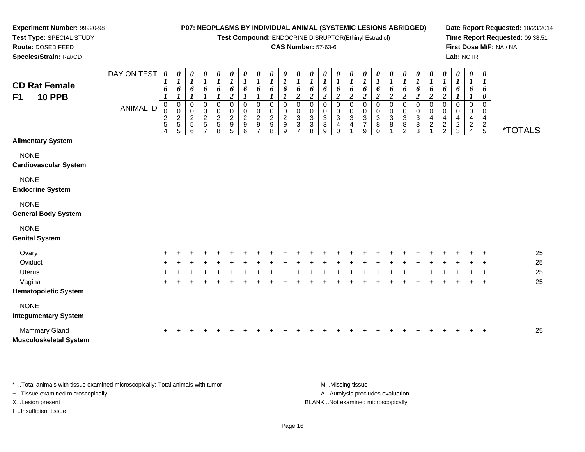**Test Compound:** ENDOCRINE DISRUPTOR(Ethinyl Estradiol)

#### **CAS Number:** 57-63-6

DAY ON TEST*0000000000000000000000000*

**Date Report Requested:** 10/23/2014**Time Report Requested:** 09:38:51**First Dose M/F:** NA / NA**Lab:** NCTR

| <b>CD Rat Female</b><br><b>10 PPB</b><br>F <sub>1</sub> |                  | $\boldsymbol{I}$<br>6<br>$\boldsymbol{l}$                       | $\boldsymbol{I}$<br>6<br>$\boldsymbol{l}$                              | $\boldsymbol{l}$<br>6<br>$\boldsymbol{l}$                     | 1<br>6<br>$\boldsymbol{l}$                                | $\mathbf{I}$<br>6                      | 6<br>$\boldsymbol{2}$                                                         | 6                                                        | 6<br>$\boldsymbol{l}$                                             | 6                                            | $\boldsymbol{I}$<br>6              | $\boldsymbol{l}$<br>6<br>$\boldsymbol{2}$              | $\frac{6}{2}$                                                          | 6<br>$\boldsymbol{2}$                     | 6<br>$\overline{c}$                                                   | 6<br>$\boldsymbol{2}$                              | 6<br>$\overline{\mathbf{c}}$                  | 6<br>$\boldsymbol{2}$                    | 6<br>$\boldsymbol{2}$                              | 6<br>$\boldsymbol{2}$                                         | $\frac{6}{2}$                                                | 1<br>$\frac{6}{2}$                    | $\boldsymbol{l}$<br>6<br>$\boldsymbol{2}$                     | 6                            | $\boldsymbol{I}$<br>6<br>$\boldsymbol{l}$                 | $\boldsymbol{l}$<br>6<br>$\boldsymbol{\theta}$ |                       |
|---------------------------------------------------------|------------------|-----------------------------------------------------------------|------------------------------------------------------------------------|---------------------------------------------------------------|-----------------------------------------------------------|----------------------------------------|-------------------------------------------------------------------------------|----------------------------------------------------------|-------------------------------------------------------------------|----------------------------------------------|------------------------------------|--------------------------------------------------------|------------------------------------------------------------------------|-------------------------------------------|-----------------------------------------------------------------------|----------------------------------------------------|-----------------------------------------------|------------------------------------------|----------------------------------------------------|---------------------------------------------------------------|--------------------------------------------------------------|---------------------------------------|---------------------------------------------------------------|------------------------------|-----------------------------------------------------------|------------------------------------------------|-----------------------|
|                                                         | <b>ANIMAL ID</b> | $\mathbf 0$<br>$\pmb{0}$<br>$\boldsymbol{2}$<br>$\sqrt{5}$<br>4 | $\pmb{0}$<br>$\pmb{0}$<br>$\begin{array}{c}\n2 \\ 5 \\ 5\n\end{array}$ | $\pmb{0}$<br>$\mathbf 0$<br>$\overline{2}$<br>$\sqrt{5}$<br>6 | $\pmb{0}$<br>$\pmb{0}$<br>$\frac{2}{5}$<br>$\overline{7}$ | 0<br>$\mathbf 0$<br>$\frac{2}{5}$<br>8 | $\pmb{0}$<br>$\pmb{0}$<br>$\sqrt{2}$<br>$\begin{array}{c} 9 \\ 5 \end{array}$ | $\mathbf 0$<br>$\mathbf 0$<br>$\boldsymbol{2}$<br>9<br>6 | $\pmb{0}$<br>$\pmb{0}$<br>$\boldsymbol{2}$<br>9<br>$\overline{7}$ | 0<br>$\mathbf 0$<br>$\overline{c}$<br>9<br>8 | 0<br>0<br>$\overline{c}$<br>9<br>9 | $\mathbf 0$<br>$\mathbf 0$<br>$\sqrt{3}$<br>$\sqrt{3}$ | $\mathbf 0$<br>$\pmb{0}$<br>$\ensuremath{\mathsf{3}}$<br>$\frac{3}{8}$ | 0<br>0<br>$\mathbf 3$<br>$\mathbf 3$<br>9 | 0<br>0<br>$\ensuremath{\mathsf{3}}$<br>$\overline{4}$<br>$\mathbf{0}$ | 0<br>$\mathbf 0$<br>$\mathbf{3}$<br>$\overline{4}$ | 0<br>0<br>$\sqrt{3}$<br>$\boldsymbol{7}$<br>9 | 0<br>0<br>$\sqrt{3}$<br>8<br>$\mathbf 0$ | 0<br>$\mathbf 0$<br>$\ensuremath{\mathsf{3}}$<br>8 | $\pmb{0}$<br>$\pmb{0}$<br>$\ensuremath{\mathsf{3}}$<br>8<br>2 | 0<br>$\boldsymbol{0}$<br>$\ensuremath{\mathsf{3}}$<br>$^8_3$ | 0<br>$\pmb{0}$<br>4<br>$\overline{c}$ | $\mathbf 0$<br>$\mathbf 0$<br>$\overline{4}$<br>$\frac{2}{2}$ | 0<br>0<br>4<br>$\frac{2}{3}$ | 0<br>$\mathbf 0$<br>4<br>$\overline{a}$<br>$\overline{4}$ | $\Omega$<br>0<br>4<br>$\frac{2}{5}$            | <i><b>*TOTALS</b></i> |
| <b>Alimentary System</b>                                |                  |                                                                 |                                                                        |                                                               |                                                           |                                        |                                                                               |                                                          |                                                                   |                                              |                                    |                                                        |                                                                        |                                           |                                                                       |                                                    |                                               |                                          |                                                    |                                                               |                                                              |                                       |                                                               |                              |                                                           |                                                |                       |
| <b>NONE</b><br><b>Cardiovascular System</b>             |                  |                                                                 |                                                                        |                                                               |                                                           |                                        |                                                                               |                                                          |                                                                   |                                              |                                    |                                                        |                                                                        |                                           |                                                                       |                                                    |                                               |                                          |                                                    |                                                               |                                                              |                                       |                                                               |                              |                                                           |                                                |                       |
| <b>NONE</b><br><b>Endocrine System</b>                  |                  |                                                                 |                                                                        |                                                               |                                                           |                                        |                                                                               |                                                          |                                                                   |                                              |                                    |                                                        |                                                                        |                                           |                                                                       |                                                    |                                               |                                          |                                                    |                                                               |                                                              |                                       |                                                               |                              |                                                           |                                                |                       |
| <b>NONE</b><br><b>General Body System</b>               |                  |                                                                 |                                                                        |                                                               |                                                           |                                        |                                                                               |                                                          |                                                                   |                                              |                                    |                                                        |                                                                        |                                           |                                                                       |                                                    |                                               |                                          |                                                    |                                                               |                                                              |                                       |                                                               |                              |                                                           |                                                |                       |
| <b>NONE</b><br><b>Genital System</b>                    |                  |                                                                 |                                                                        |                                                               |                                                           |                                        |                                                                               |                                                          |                                                                   |                                              |                                    |                                                        |                                                                        |                                           |                                                                       |                                                    |                                               |                                          |                                                    |                                                               |                                                              |                                       |                                                               |                              |                                                           |                                                |                       |
| Ovary                                                   |                  |                                                                 |                                                                        |                                                               |                                                           |                                        |                                                                               |                                                          |                                                                   |                                              |                                    |                                                        |                                                                        |                                           |                                                                       |                                                    |                                               |                                          |                                                    |                                                               |                                                              |                                       |                                                               |                              |                                                           |                                                | 25                    |
| Oviduct                                                 |                  |                                                                 |                                                                        |                                                               |                                                           |                                        |                                                                               |                                                          |                                                                   |                                              |                                    |                                                        |                                                                        |                                           |                                                                       |                                                    |                                               |                                          |                                                    |                                                               |                                                              |                                       |                                                               |                              |                                                           |                                                | 25                    |
| <b>Uterus</b>                                           |                  |                                                                 |                                                                        |                                                               |                                                           |                                        |                                                                               |                                                          |                                                                   |                                              |                                    |                                                        |                                                                        |                                           |                                                                       |                                                    |                                               |                                          |                                                    |                                                               |                                                              |                                       |                                                               |                              |                                                           |                                                | 25                    |
| Vagina                                                  |                  | ÷                                                               |                                                                        |                                                               |                                                           |                                        |                                                                               |                                                          |                                                                   |                                              |                                    |                                                        |                                                                        |                                           |                                                                       |                                                    |                                               |                                          |                                                    |                                                               |                                                              |                                       |                                                               |                              |                                                           | +                                              | 25                    |
| <b>Hematopoietic System</b>                             |                  |                                                                 |                                                                        |                                                               |                                                           |                                        |                                                                               |                                                          |                                                                   |                                              |                                    |                                                        |                                                                        |                                           |                                                                       |                                                    |                                               |                                          |                                                    |                                                               |                                                              |                                       |                                                               |                              |                                                           |                                                |                       |
| <b>NONE</b><br><b>Integumentary System</b>              |                  |                                                                 |                                                                        |                                                               |                                                           |                                        |                                                                               |                                                          |                                                                   |                                              |                                    |                                                        |                                                                        |                                           |                                                                       |                                                    |                                               |                                          |                                                    |                                                               |                                                              |                                       |                                                               |                              |                                                           |                                                |                       |
| Mammary Gland<br><b>Musculoskeletal System</b>          |                  | $\ddot{}$                                                       |                                                                        |                                                               |                                                           |                                        |                                                                               |                                                          |                                                                   |                                              |                                    |                                                        |                                                                        |                                           |                                                                       |                                                    |                                               |                                          |                                                    |                                                               |                                                              |                                       |                                                               |                              |                                                           | +                                              | 25                    |

\* ..Total animals with tissue examined microscopically; Total animals with tumor **M** ..Missing tissue M ..Missing tissue A .. Autolysis precludes evaluation + ..Tissue examined microscopically X ..Lesion present BLANK ..Not examined microscopicallyI ..Insufficient tissue

**Experiment Number:** 99920-98**Test Type:** SPECIAL STUDY**Route:** DOSED FEED**Species/Strain:** Rat/CD

Page 16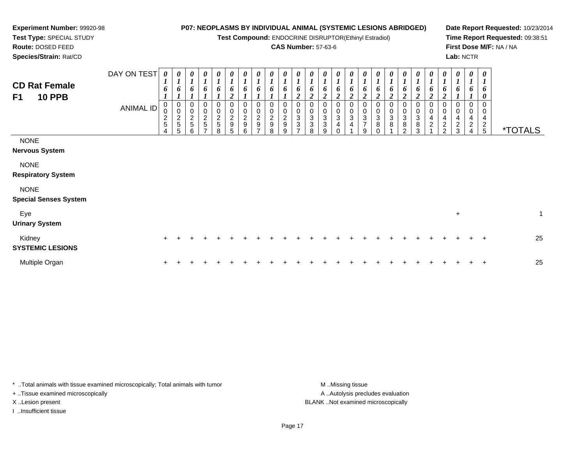**Test Compound:** ENDOCRINE DISRUPTOR(Ethinyl Estradiol)

### **CAS Number:** 57-63-6

**Date Report Requested:** 10/23/2014**Time Report Requested:** 09:38:51**First Dose M/F:** NA / NA**Lab:** NCTR

**Test Type:** SPECIAL STUDY**Route:** DOSED FEED**Species/Strain:** Rat/CD

**Experiment Number:** 99920-98

|                                                         | DAY ON TEST      | 0                     | $\boldsymbol{\theta}$<br>$\boldsymbol{l}$ | 0<br>$\mathbf{r}$                 | 0                                 | 0<br>$\boldsymbol{l}$   | 0<br>$\boldsymbol{l}$                     | $\frac{\theta}{I}$                | $\frac{\theta}{I}$              | $\frac{\boldsymbol{\theta}}{\boldsymbol{I}}$ | $\boldsymbol{\theta}$<br>$\boldsymbol{l}$ | 0           | $\boldsymbol{\theta}$                                       | 0<br>$\boldsymbol{l}$                                       | 0<br>$\mathbf{r}$                      | 0                                        | 0                                                     |                                | 0                                              | 0<br>$\boldsymbol{l}$       | 0<br>$\boldsymbol{l}$                          | $\boldsymbol{\theta}$<br>$\boldsymbol{I}$                     | 0<br>$\boldsymbol{l}$                     | 0                        | 0<br>$\boldsymbol{l}$    | $\boldsymbol{\theta}$<br>$\boldsymbol{l}$ |                       |
|---------------------------------------------------------|------------------|-----------------------|-------------------------------------------|-----------------------------------|-----------------------------------|-------------------------|-------------------------------------------|-----------------------------------|---------------------------------|----------------------------------------------|-------------------------------------------|-------------|-------------------------------------------------------------|-------------------------------------------------------------|----------------------------------------|------------------------------------------|-------------------------------------------------------|--------------------------------|------------------------------------------------|-----------------------------|------------------------------------------------|---------------------------------------------------------------|-------------------------------------------|--------------------------|--------------------------|-------------------------------------------|-----------------------|
| <b>CD Rat Female</b><br><b>10 PPB</b><br>F <sub>1</sub> |                  | $\mathbf{I}$<br>6     | 6                                         | $\mathbf{I}$<br>6                 | 1<br>6                            | 6                       | 6<br>$\boldsymbol{2}$                     | 6                                 | 6                               | 6                                            | o                                         | 6           | 6<br>$\mathbf{\hat{z}}$                                     | 6                                                           | 6<br>າ                                 | $\mathbf I$<br>6<br>$\mathfrak{D}$       | $\boldsymbol{l}$<br>6<br>2                            | $\boldsymbol{l}$<br>6          | 6<br>$\overline{\mathbf{c}}$                   | 6<br>2                      | 6<br>$\overline{2}$                            | 6<br>$\boldsymbol{2}$                                         | 6<br>$\mathfrak{D}$                       | 6                        | 6                        | 6<br>0                                    |                       |
|                                                         | <b>ANIMAL ID</b> | 0<br>0<br>$rac{2}{5}$ | $\pmb{0}$<br>$\frac{2}{5}$                | 0<br>$\mathbf 0$<br>$\frac{2}{5}$ | 0<br>$\mathbf 0$<br>$\frac{2}{5}$ | 0<br>0<br>$\frac{2}{5}$ | $\mathbf 0$<br>$\pmb{0}$<br>$\frac{2}{9}$ | 0<br>$\mathbf 0$<br>$\frac{2}{9}$ | 0<br>$\pmb{0}$<br>$\frac{2}{9}$ | 0<br>$\frac{2}{9}$                           | $\pmb{0}$<br>$\frac{2}{9}$                | 0<br>3<br>3 | 0<br>$\pmb{0}$<br>$\ensuremath{\mathsf{3}}$<br>$\mathbf{3}$ | 0<br>$\pmb{0}$<br>$\ensuremath{\mathsf{3}}$<br>$\mathbf{3}$ | 0<br>0<br>$\sqrt{3}$<br>$\overline{4}$ | 0<br>0<br>$\ensuremath{\mathsf{3}}$<br>4 | 0<br>0<br>$\ensuremath{\mathsf{3}}$<br>$\overline{7}$ | $\ensuremath{\mathsf{3}}$<br>8 | 0<br>$\,0\,$<br>$\ensuremath{\mathsf{3}}$<br>8 | 0<br>0<br>$\mathbf{3}$<br>8 | 0<br>0<br>$\ensuremath{\mathsf{3}}$<br>$\bf 8$ | 0<br>$\mathbf 0$<br>$\overline{\mathbf{4}}$<br>$\overline{c}$ | 0<br>$\pmb{0}$<br>$\overline{\mathbf{4}}$ | 0<br>4<br>$\overline{c}$ | 0<br>4<br>$\overline{c}$ | $\mathbf 0$<br>0<br>4                     |                       |
|                                                         |                  | $\overline{4}$        | 5                                         | 6                                 | $\overline{ }$                    | 8                       | 5                                         | 6                                 | $\overline{ }$                  | 8                                            | 9                                         |             | 8                                                           | 9                                                           | $\Omega$                               |                                          | 9                                                     |                                |                                                | $\mathcal{D}$               | 3                                              |                                                               | $\frac{2}{2}$                             | 3                        | $\overline{4}$           | $\frac{2}{5}$                             | <i><b>*TOTALS</b></i> |
| <b>NONE</b><br><b>Nervous System</b>                    |                  |                       |                                           |                                   |                                   |                         |                                           |                                   |                                 |                                              |                                           |             |                                                             |                                                             |                                        |                                          |                                                       |                                |                                                |                             |                                                |                                                               |                                           |                          |                          |                                           |                       |
| <b>NONE</b><br><b>Respiratory System</b>                |                  |                       |                                           |                                   |                                   |                         |                                           |                                   |                                 |                                              |                                           |             |                                                             |                                                             |                                        |                                          |                                                       |                                |                                                |                             |                                                |                                                               |                                           |                          |                          |                                           |                       |
| <b>NONE</b><br><b>Special Senses System</b>             |                  |                       |                                           |                                   |                                   |                         |                                           |                                   |                                 |                                              |                                           |             |                                                             |                                                             |                                        |                                          |                                                       |                                |                                                |                             |                                                |                                                               |                                           |                          |                          |                                           |                       |
| Eye<br><b>Urinary System</b>                            |                  |                       |                                           |                                   |                                   |                         |                                           |                                   |                                 |                                              |                                           |             |                                                             |                                                             |                                        |                                          |                                                       |                                |                                                |                             |                                                |                                                               |                                           | $\ddot{}$                |                          |                                           | $\mathbf{1}$          |
| Kidney<br><b>SYSTEMIC LESIONS</b>                       |                  | $\ddot{}$             |                                           |                                   |                                   |                         |                                           |                                   |                                 |                                              |                                           |             |                                                             |                                                             |                                        |                                          |                                                       |                                |                                                |                             |                                                |                                                               |                                           |                          |                          | $\ddot{}$                                 | 25                    |
| Multiple Organ                                          |                  |                       |                                           |                                   |                                   |                         |                                           |                                   |                                 |                                              |                                           |             |                                                             |                                                             |                                        |                                          |                                                       |                                |                                                |                             |                                                |                                                               |                                           |                          |                          | $\div$                                    | 25                    |

\* ..Total animals with tissue examined microscopically; Total animals with tumor **M** . Missing tissue M ..Missing tissue + ..Tissue examined microscopically

X ..Lesion present BLANK ..Not examined microscopically

I ..Insufficient tissue

A ..Autolysis precludes evaluation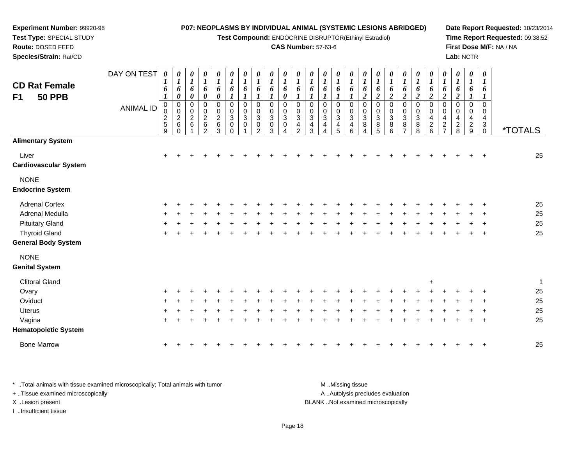**Test Compound:** ENDOCRINE DISRUPTOR(Ethinyl Estradiol)

#### **CAS Number:** 57-63-6

**Date Report Requested:** 10/23/2014**Time Report Requested:** 09:38:52**First Dose M/F:** NA / NA**Lab:** NCTR

| <b>CD Rat Female</b><br>F1<br><b>50 PPB</b> | DAY ON TEST      | 6                                                 | U<br>$\boldsymbol{l}$<br>6<br>0                         | 0<br>$\boldsymbol{l}$<br>6<br>0                   | 0<br>$\boldsymbol{l}$<br>6<br>0                    | 0<br>$\boldsymbol{l}$<br>6<br>0                            | 0<br>$\boldsymbol{l}$<br>6<br>$\boldsymbol{l}$                             | $\boldsymbol{\theta}$<br>$\boldsymbol{l}$<br>6 | 0<br>$\boldsymbol{I}$<br>6                  | 0<br>$\boldsymbol{l}$<br>6<br>1 | $\boldsymbol{l}$<br>6<br>0            | $\boldsymbol{\theta}$<br>$\boldsymbol{l}$<br>6                 | 0<br>$\boldsymbol{I}$<br>6                 | 0<br>$\boldsymbol{l}$<br>6                                        | 0<br>$\boldsymbol{l}$<br>6     | $\boldsymbol{\theta}$<br>$\boldsymbol{l}$<br>6 | 0<br>$\boldsymbol{l}$<br>6<br>$\boldsymbol{2}$      | 0<br>$\boldsymbol{l}$<br>6<br>$\overline{\mathbf{c}}$ | $\begin{matrix} 0 \\ 1 \end{matrix}$<br>6<br>$\boldsymbol{2}$ | 0<br>$\boldsymbol{l}$<br>6<br>$\overline{\mathbf{c}}$ | 0<br>$\boldsymbol{l}$<br>6<br>$\boldsymbol{2}$                    | 0<br>$\boldsymbol{l}$<br>6<br>$\overline{2}$ | 0<br>$\boldsymbol{l}$<br>6<br>$\boldsymbol{2}$               | 0<br>$\boldsymbol{l}$<br>6<br>$\overline{c}$ | 0<br>$\boldsymbol{l}$<br>6                          | 0<br>$\boldsymbol{l}$<br>6             |                       |
|---------------------------------------------|------------------|---------------------------------------------------|---------------------------------------------------------|---------------------------------------------------|----------------------------------------------------|------------------------------------------------------------|----------------------------------------------------------------------------|------------------------------------------------|---------------------------------------------|---------------------------------|---------------------------------------|----------------------------------------------------------------|--------------------------------------------|-------------------------------------------------------------------|--------------------------------|------------------------------------------------|-----------------------------------------------------|-------------------------------------------------------|---------------------------------------------------------------|-------------------------------------------------------|-------------------------------------------------------------------|----------------------------------------------|--------------------------------------------------------------|----------------------------------------------|-----------------------------------------------------|----------------------------------------|-----------------------|
|                                             | <b>ANIMAL ID</b> | $\pmb{0}$<br>0<br>$\frac{2}{5}$<br>$\overline{9}$ | $\pmb{0}$<br>$\mathbf 0$<br>$\sqrt{2}$<br>6<br>$\Omega$ | $\mathbf 0$<br>$\pmb{0}$<br>$\boldsymbol{2}$<br>6 | 0<br>$\pmb{0}$<br>$\boldsymbol{2}$<br>$\,6\,$<br>2 | $\pmb{0}$<br>$\pmb{0}$<br>$\boldsymbol{2}$<br>$\,6\,$<br>3 | $\boldsymbol{0}$<br>$\mathbf 0$<br>$\mathbf{3}$<br>$\mathbf 0$<br>$\Omega$ | $\pmb{0}$<br>0<br>$\mathbf{3}$<br>0            | 0<br>$\mathbf 0$<br>3<br>0<br>$\mathcal{P}$ | $\mathbf 0$<br>0<br>3<br>0<br>3 | $\mathbf 0$<br>0<br>$\mathbf{3}$<br>0 | $\mathbf 0$<br>$\Omega$<br>$\mathbf{3}$<br>4<br>$\overline{2}$ | $\mathbf 0$<br>0<br>$\mathbf{3}$<br>4<br>3 | $\Omega$<br>0<br>$\ensuremath{\mathsf{3}}$<br>$\overline{4}$<br>Δ | 0<br>0<br>$\sqrt{3}$<br>4<br>5 | $\mathbf 0$<br>0<br>$\mathbf{3}$<br>4<br>6     | $\pmb{0}$<br>0<br>$\sqrt{3}$<br>8<br>$\overline{4}$ | 0<br>0<br>$\mathbf{3}$<br>8<br>5                      | $\mathbf 0$<br>0<br>$\mathbf{3}$<br>8<br>6                    | $\pmb{0}$<br>$\mathbf 0$<br>$\sqrt{3}$<br>8           | $\mathbf 0$<br>$\mathbf 0$<br>$\ensuremath{\mathsf{3}}$<br>8<br>8 | $\mathbf 0$<br>0<br>4<br>$\frac{2}{6}$       | 0<br>0<br>$\overline{4}$<br>$\overline{c}$<br>$\overline{7}$ | $\mathbf 0$<br>0<br>4<br>$\overline{c}$<br>8 | $\mathbf 0$<br>0<br>$\overline{4}$<br>$\frac{2}{9}$ | $\Omega$<br>0<br>4<br>3<br>$\mathbf 0$ | <i><b>*TOTALS</b></i> |
| <b>Alimentary System</b>                    |                  |                                                   |                                                         |                                                   |                                                    |                                                            |                                                                            |                                                |                                             |                                 |                                       |                                                                |                                            |                                                                   |                                |                                                |                                                     |                                                       |                                                               |                                                       |                                                                   |                                              |                                                              |                                              |                                                     |                                        |                       |
| Liver<br><b>Cardiovascular System</b>       |                  | $\ddot{}$                                         |                                                         |                                                   |                                                    |                                                            |                                                                            |                                                |                                             |                                 |                                       |                                                                |                                            |                                                                   |                                |                                                |                                                     |                                                       |                                                               |                                                       |                                                                   |                                              |                                                              |                                              |                                                     |                                        | 25                    |
| <b>NONE</b><br><b>Endocrine System</b>      |                  |                                                   |                                                         |                                                   |                                                    |                                                            |                                                                            |                                                |                                             |                                 |                                       |                                                                |                                            |                                                                   |                                |                                                |                                                     |                                                       |                                                               |                                                       |                                                                   |                                              |                                                              |                                              |                                                     |                                        |                       |
| <b>Adrenal Cortex</b>                       |                  | $\pm$                                             |                                                         |                                                   |                                                    |                                                            |                                                                            |                                                |                                             |                                 |                                       |                                                                |                                            |                                                                   |                                |                                                |                                                     |                                                       |                                                               |                                                       |                                                                   |                                              |                                                              |                                              |                                                     |                                        | 25                    |
| Adrenal Medulla                             |                  |                                                   |                                                         |                                                   |                                                    |                                                            |                                                                            |                                                |                                             |                                 |                                       |                                                                |                                            |                                                                   |                                |                                                |                                                     |                                                       |                                                               |                                                       |                                                                   |                                              |                                                              |                                              |                                                     |                                        | 25                    |
| <b>Pituitary Gland</b>                      |                  |                                                   |                                                         |                                                   |                                                    |                                                            |                                                                            |                                                |                                             |                                 |                                       |                                                                |                                            |                                                                   |                                |                                                |                                                     |                                                       |                                                               |                                                       |                                                                   |                                              |                                                              |                                              |                                                     |                                        | 25                    |
| <b>Thyroid Gland</b>                        |                  | $\pm$                                             |                                                         |                                                   |                                                    |                                                            |                                                                            |                                                |                                             |                                 |                                       |                                                                |                                            |                                                                   |                                |                                                |                                                     |                                                       |                                                               |                                                       |                                                                   |                                              |                                                              |                                              |                                                     | $\ddot{}$                              | 25                    |
| <b>General Body System</b>                  |                  |                                                   |                                                         |                                                   |                                                    |                                                            |                                                                            |                                                |                                             |                                 |                                       |                                                                |                                            |                                                                   |                                |                                                |                                                     |                                                       |                                                               |                                                       |                                                                   |                                              |                                                              |                                              |                                                     |                                        |                       |
| <b>NONE</b>                                 |                  |                                                   |                                                         |                                                   |                                                    |                                                            |                                                                            |                                                |                                             |                                 |                                       |                                                                |                                            |                                                                   |                                |                                                |                                                     |                                                       |                                                               |                                                       |                                                                   |                                              |                                                              |                                              |                                                     |                                        |                       |
| <b>Genital System</b>                       |                  |                                                   |                                                         |                                                   |                                                    |                                                            |                                                                            |                                                |                                             |                                 |                                       |                                                                |                                            |                                                                   |                                |                                                |                                                     |                                                       |                                                               |                                                       |                                                                   |                                              |                                                              |                                              |                                                     |                                        |                       |
| <b>Clitoral Gland</b>                       |                  |                                                   |                                                         |                                                   |                                                    |                                                            |                                                                            |                                                |                                             |                                 |                                       |                                                                |                                            |                                                                   |                                |                                                |                                                     |                                                       |                                                               |                                                       |                                                                   | $\ddot{}$                                    |                                                              |                                              |                                                     |                                        | 1                     |
| Ovary                                       |                  |                                                   |                                                         |                                                   |                                                    |                                                            |                                                                            |                                                |                                             |                                 |                                       |                                                                |                                            |                                                                   |                                |                                                |                                                     |                                                       |                                                               |                                                       |                                                                   |                                              |                                                              |                                              |                                                     |                                        | 25                    |
| Oviduct                                     |                  |                                                   |                                                         |                                                   |                                                    |                                                            |                                                                            |                                                |                                             |                                 |                                       |                                                                |                                            |                                                                   |                                |                                                |                                                     |                                                       |                                                               |                                                       |                                                                   |                                              |                                                              |                                              |                                                     |                                        | 25                    |
| Uterus                                      |                  |                                                   |                                                         |                                                   |                                                    |                                                            |                                                                            |                                                |                                             |                                 |                                       |                                                                |                                            |                                                                   |                                |                                                |                                                     |                                                       |                                                               |                                                       |                                                                   |                                              |                                                              |                                              |                                                     |                                        | 25                    |
| Vagina                                      |                  | ٠                                                 |                                                         |                                                   |                                                    |                                                            |                                                                            |                                                |                                             |                                 |                                       |                                                                |                                            |                                                                   |                                |                                                |                                                     |                                                       |                                                               |                                                       |                                                                   |                                              |                                                              |                                              |                                                     | +                                      | 25                    |
| <b>Hematopoietic System</b>                 |                  |                                                   |                                                         |                                                   |                                                    |                                                            |                                                                            |                                                |                                             |                                 |                                       |                                                                |                                            |                                                                   |                                |                                                |                                                     |                                                       |                                                               |                                                       |                                                                   |                                              |                                                              |                                              |                                                     |                                        |                       |
|                                             |                  |                                                   |                                                         |                                                   |                                                    |                                                            |                                                                            |                                                |                                             |                                 |                                       |                                                                |                                            |                                                                   |                                |                                                |                                                     |                                                       |                                                               |                                                       |                                                                   |                                              |                                                              |                                              |                                                     |                                        |                       |

\* ..Total animals with tissue examined microscopically; Total animals with tumor **M** ...Missing tissue M ...Missing tissue A ..Autolysis precludes evaluation + ..Tissue examined microscopically X ..Lesion present BLANK ..Not examined microscopicallyI ..Insufficient tissue

**Experiment Number:** 99920-98**Test Type:** SPECIAL STUDY**Route:** DOSED FEED**Species/Strain:** Rat/CD

Bone Marrow

<sup>+</sup> <sup>+</sup> <sup>+</sup> <sup>+</sup> <sup>+</sup> <sup>+</sup> <sup>+</sup> <sup>+</sup> <sup>+</sup> <sup>+</sup> <sup>+</sup> <sup>+</sup> <sup>+</sup> <sup>+</sup> <sup>+</sup> <sup>+</sup> <sup>+</sup> <sup>+</sup> <sup>+</sup> <sup>+</sup> <sup>+</sup> <sup>+</sup> <sup>+</sup> <sup>+</sup> <sup>+</sup> <sup>25</sup>